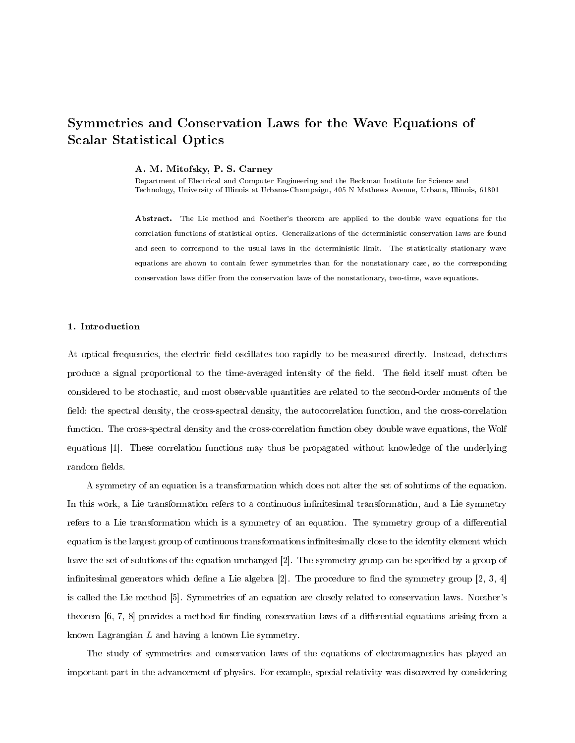# Symmetries and Conservation Laws for the Wave Equations of Scalar Statistical Optics

#### A. M. Mitofsky, P. S. Carney

Department of Electrical and Computer Engineering and the Beckman Institute for Science and Technology, University of Illinois at Urbana-Champaign, 405 N Mathews Avenue, Urbana, Illinois, 61801

Abstract. The Lie method and Noether's theorem are applied to the double wave equations for the correlation functions of statistical optics. Generalizations of the deterministic conservation laws are found and seen to correspond to the usual laws in the deterministic limit. The statistically stationary wave equations are shown to contain fewer symmetries than for the nonstationary case, so the corresponding conservation laws differ from the conservation laws of the nonstationary, two-time, wave equations.

## 1. Introduction

At optical frequencies, the electric field oscillates too rapidly to be measured directly. Instead, detectors produce a signal proportional to the time-averaged intensity of the field. The field itself must often be considered to be stochastic, and most observable quantities are related to the second-order moments of the field: the spectral density, the cross-spectral density, the autocorrelation function, and the cross-correlation function. The cross-spectral density and the cross-correlation function obey double wave equations, the Wolf equations [1]. These correlation functions may thus be propagated without knowledge of the underlying random fields.

A symmetry of an equation is a transformation which does not alter the set of solutions of the equation. In this work, a Lie transformation refers to a continuous infinitesimal transformation, and a Lie symmetry refers to a Lie transformation which is a symmetry of an equation. The symmetry group of a differential equation is the largest group of continuous transformations infinitesimally close to the identity element which leave the set of solutions of the equation unchanged [2]. The symmetry group can be specified by a group of infinitesimal generators which define a Lie algebra  $[2]$ . The procedure to find the symmetry group  $[2, 3, 4]$ is called the Lie method [5]. Symmetries of an equation are closely related to conservation laws. Noether's theorem [6, 7, 8] provides a method for finding conservation laws of a differential equations arising from a known Lagrangian L and having a known Lie symmetry.

The study of symmetries and conservation laws of the equations of electromagnetics has played an important part in the advancement of physics. For example, special relativity was discovered by considering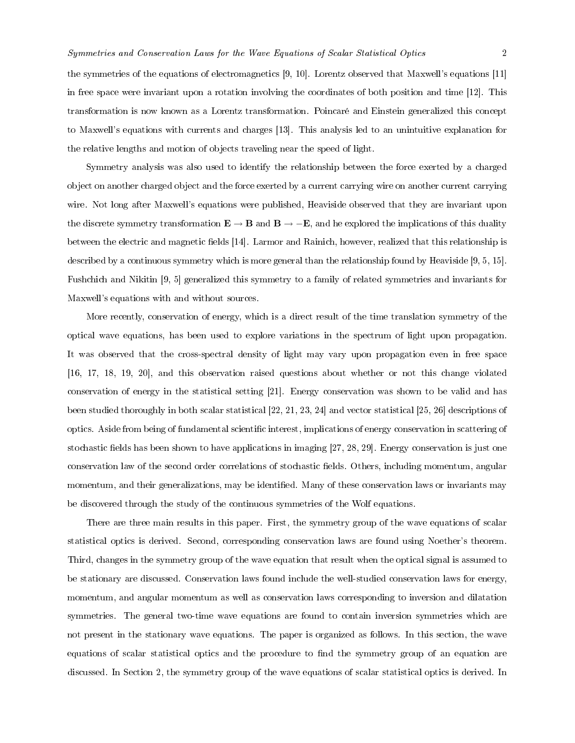the symmetries of the equations of electromagnetics [9, 10]. Lorentz observed that Maxwell's equations [11] in free space were invariant upon a rotation involving the coordinates of both position and time [12]. This transformation is now known as a Lorentz transformation. Poincaré and Einstein generalized this concept to Maxwell's equations with currents and charges [13]. This analysis led to an unintuitive explanation for the relative lengths and motion of objects traveling near the speed of light.

Symmetry analysis was also used to identify the relationship between the force exerted by a charged object on another charged object and the force exerted by a current carrying wire on another current carrying wire. Not long after Maxwell's equations were published, Heaviside observed that they are invariant upon the discrete symmetry transformation  $\mathbf{E} \to \mathbf{B}$  and  $\mathbf{B} \to -\mathbf{E}$ , and he explored the implications of this duality between the electric and magnetic fields [14]. Larmor and Rainich, however, realized that this relationship is described by a continuous symmetry which is more general than the relationship found by Heaviside [9, 5, 15]. Fushchich and Nikitin [9, 5] generalized this symmetry to a family of related symmetries and invariants for Maxwell's equations with and without sources.

More recently, conservation of energy, which is a direct result of the time translation symmetry of the optical wave equations, has been used to explore variations in the spectrum of light upon propagation. It was observed that the cross-spectral density of light may vary upon propagation even in free space [16, 17, 18, 19, 20], and this observation raised questions about whether or not this change violated conservation of energy in the statistical setting [21]. Energy conservation was shown to be valid and has been studied thoroughly in both scalar statistical [22, 21, 23, 24] and vector statistical [25, 26] descriptions of optics. Aside from being of fundamental scientific interest, implications of energy conservation in scattering of stochastic fields has been shown to have applications in imaging [27, 28, 29]. Energy conservation is just one conservation law of the second order correlations of stochastic fields. Others, including momentum, angular momentum, and their generalizations, may be identified. Many of these conservation laws or invariants may be discovered through the study of the continuous symmetries of the Wolf equations.

There are three main results in this paper. First, the symmetry group of the wave equations of scalar statistical optics is derived. Second, corresponding conservation laws are found using Noether's theorem. Third, changes in the symmetry group of the wave equation that result when the optical signal is assumed to be stationary are discussed. Conservation laws found include the well-studied conservation laws for energy, momentum, and angular momentum as well as conservation laws corresponding to inversion and dilatation symmetries. The general two-time wave equations are found to contain inversion symmetries which are not present in the stationary wave equations. The paper is organized as follows. In this section, the wave equations of scalar statistical optics and the procedure to find the symmetry group of an equation are discussed. In Section 2, the symmetry group of the wave equations of scalar statistical optics is derived. In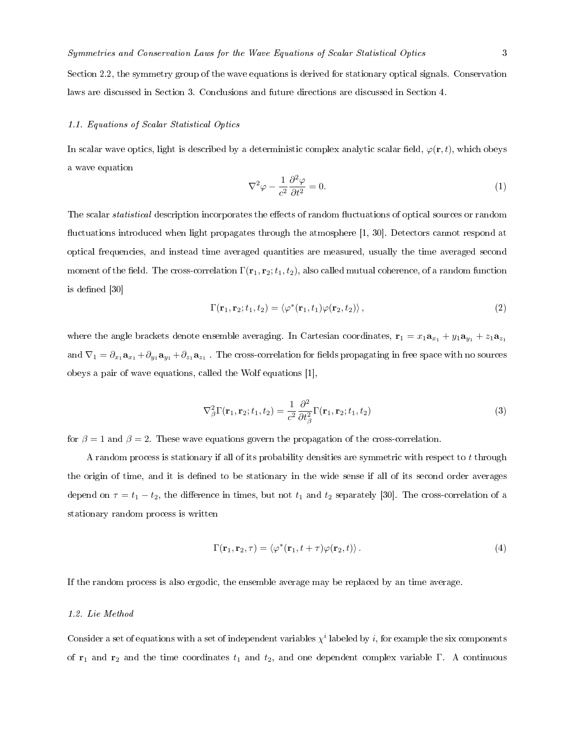Section 2.2, the symmetry group of the wave equations is derived for stationary optical signals. Conservation

laws are discussed in Section 3. Conclusions and future directions are discussed in Section 4.

# 1.1. Equations of Scalar Statistical Optics

In scalar wave optics, light is described by a deterministic complex analytic scalar field,  $\varphi(\mathbf{r},t)$ , which obeys a wave equation

$$
\nabla^2 \varphi - \frac{1}{c^2} \frac{\partial^2 \varphi}{\partial t^2} = 0.
$$
 (1)

The scalar *statistical* description incorporates the effects of random fluctuations of optical sources or random fluctuations introduced when light propagates through the atmosphere [1, 30]. Detectors cannot respond at optical frequencies, and instead time averaged quantities are measured, usually the time averaged second moment of the field. The cross-correlation  $\Gamma(\mathbf{r}_1, \mathbf{r}_2; t_1, t_2)$ , also called mutual coherence, of a random function is defined [30]

$$
\Gamma(\mathbf{r}_1, \mathbf{r}_2; t_1, t_2) = \langle \varphi^*(\mathbf{r}_1, t_1) \varphi(\mathbf{r}_2, t_2) \rangle, \tag{2}
$$

where the angle brackets denote ensemble averaging. In Cartesian coordinates,  $\mathbf{r}_1 = x_1 \mathbf{a}_{x_1} + y_1 \mathbf{a}_{y_1} + z_1 \mathbf{a}_{z_1}$ and  $\nabla_1=\partial_{x_1}{\bf a}_{x_1}+\partial_{y_1}{\bf a}_{y_1}+\partial_{z_1}{\bf a}_{z_1}$  . The cross-correlation for fields propagating in free space with no sources obeys a pair of wave equations, called the Wolf equations [1],

$$
\nabla_{\beta}^{2} \Gamma(\mathbf{r}_{1}, \mathbf{r}_{2}; t_{1}, t_{2}) = \frac{1}{c^{2}} \frac{\partial^{2}}{\partial t_{\beta}^{2}} \Gamma(\mathbf{r}_{1}, \mathbf{r}_{2}; t_{1}, t_{2})
$$
\n(3)

for  $\beta = 1$  and  $\beta = 2$ . These wave equations govern the propagation of the cross-correlation.

A random process is stationary if all of its probability densities are symmetric with respect to t through the origin of time, and it is defined to be stationary in the wide sense if all of its second order averages depend on  $\tau = t_1 - t_2$ , the difference in times, but not  $t_1$  and  $t_2$  separately [30]. The cross-correlation of a stationary random process is written

$$
\Gamma(\mathbf{r}_1, \mathbf{r}_2, \tau) = \langle \varphi^*(\mathbf{r}_1, t + \tau) \varphi(\mathbf{r}_2, t) \rangle. \tag{4}
$$

If the random process is also ergodic, the ensemble average may be replaced by an time average.

## 1.2. Lie Method

Consider a set of equations with a set of independent variables  $\chi^i$  labeled by *i*, for example the six components of  $r_1$  and  $r_2$  and the time coordinates  $t_1$  and  $t_2$ , and one dependent complex variable Γ. A continuous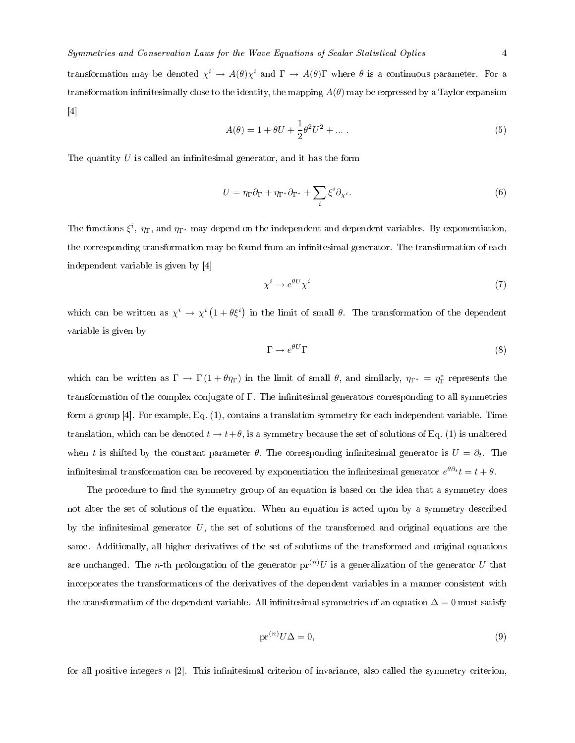transformation may be denoted  $\chi^i \to A(\theta)\chi^i$  and  $\Gamma \to A(\theta)\Gamma$  where  $\theta$  is a continuous parameter. For a transformation infinitesimally close to the identity, the mapping  $A(\theta)$  may be expressed by a Taylor expansion [4]

$$
A(\theta) = 1 + \theta U + \frac{1}{2}\theta^2 U^2 + \dots
$$
 (5)

The quantity  $U$  is called an infinitesimal generator, and it has the form

$$
U = \eta_{\Gamma} \partial_{\Gamma} + \eta_{\Gamma^*} \partial_{\Gamma^*} + \sum_i \xi^i \partial_{\chi^i}.
$$
\n
$$
(6)
$$

The functions  $\xi^i$ ,  $\eta_{\Gamma}$ , and  $\eta_{\Gamma^*}$  may depend on the independent and dependent variables. By exponentiation, the corresponding transformation may be found from an infinitesimal generator. The transformation of each independent variable is given by [4]

$$
\chi^i \to e^{\theta U} \chi^i \tag{7}
$$

which can be written as  $\chi^i \to \chi^i (1 + \theta \xi^i)$  in the limit of small  $\theta$ . The transformation of the dependent variable is given by

$$
\Gamma \to e^{\theta U} \Gamma \tag{8}
$$

which can be written as  $\Gamma \to \Gamma(1 + \theta \eta_{\Gamma})$  in the limit of small  $\theta$ , and similarly,  $\eta_{\Gamma^*} = \eta_{\Gamma}^*$  represents the transformation of the complex conjugate of Γ. The infinitesimal generators corresponding to all symmetries form a group [4]. For example, Eq. (1), contains a translation symmetry for each independent variable. Time translation, which can be denoted  $t \to t+\theta$ , is a symmetry because the set of solutions of Eq. (1) is unaltered when t is shifted by the constant parameter  $\theta$ . The corresponding infinitesimal generator is  $U = \partial_t$ . The infinitesimal transformation can be recovered by exponentiation the infinitesimal generator  $e^{\theta \partial_t} t = t + \theta$ .

The procedure to find the symmetry group of an equation is based on the idea that a symmetry does not alter the set of solutions of the equation. When an equation is acted upon by a symmetry described by the infinitesimal generator  $U$ , the set of solutions of the transformed and original equations are the same. Additionally, all higher derivatives of the set of solutions of the transformed and original equations are unchanged. The n-th prolongation of the generator  $pr^{(n)}U$  is a generalization of the generator U that incorporates the transformations of the derivatives of the dependent variables in a manner consistent with the transformation of the dependent variable. All infinitesimal symmetries of an equation  $\Delta = 0$  must satisfy

$$
\operatorname{pr}^{(n)} U \Delta = 0,\tag{9}
$$

for all positive integers  $n \geq 2$ . This infinitesimal criterion of invariance, also called the symmetry criterion,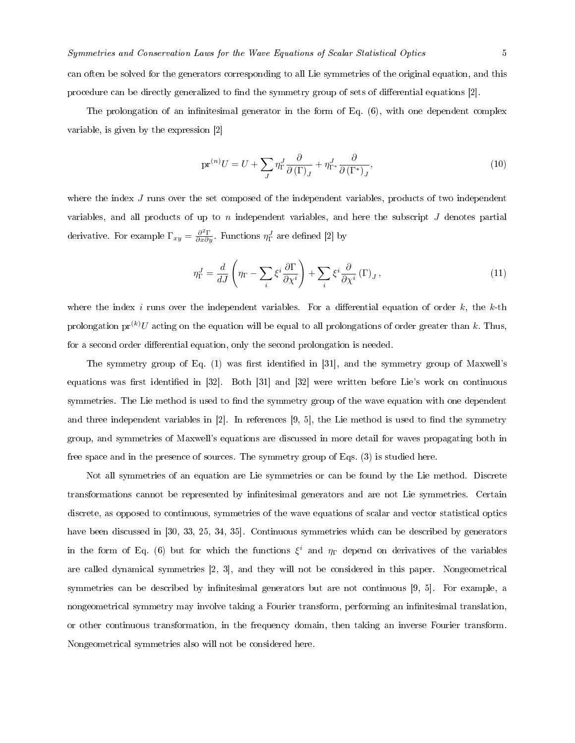can often be solved for the generators corresponding to all Lie symmetries of the original equation, and this procedure can be directly generalized to find the symmetry group of sets of differential equations [2].

The prolongation of an infinitesimal generator in the form of Eq.  $(6)$ , with one dependent complex variable, is given by the expression [2]

$$
\text{pr}^{(n)}U = U + \sum_{J} \eta_{\Gamma}^{J} \frac{\partial}{\partial(\Gamma)_{J}} + \eta_{\Gamma^{*}}^{J} \frac{\partial}{\partial(\Gamma^{*})_{J}},\tag{10}
$$

where the index J runs over the set composed of the independent variables, products of two independent variables, and all products of up to n independent variables, and here the subscript  $J$  denotes partial derivative. For example  $\Gamma_{xy} = \frac{\partial^2 \Gamma}{\partial x \partial y}$ . Functions  $\eta_{\Gamma}^J$  are defined [2] by

$$
\eta_{\Gamma}^{J} = \frac{d}{dJ} \left( \eta_{\Gamma} - \sum_{i} \xi^{i} \frac{\partial \Gamma}{\partial \chi^{i}} \right) + \sum_{i} \xi^{i} \frac{\partial}{\partial \chi^{i}} (\Gamma)_{J}, \qquad (11)
$$

where the index i runs over the independent variables. For a differential equation of order  $k$ , the k-th prolongation  $pr^{(k)}U$  acting on the equation will be equal to all prolongations of order greater than k. Thus, for a second order differential equation, only the second prolongation is needed.

The symmetry group of Eq.  $(1)$  was first identified in [31], and the symmetry group of Maxwell's equations was first identified in  $[32]$ . Both  $[31]$  and  $[32]$  were written before Lie's work on continuous symmetries. The Lie method is used to find the symmetry group of the wave equation with one dependent and three independent variables in  $[2]$ . In references  $[9, 5]$ , the Lie method is used to find the symmetry group, and symmetries of Maxwell's equations are discussed in more detail for waves propagating both in free space and in the presence of sources. The symmetry group of Eqs. (3) is studied here.

Not all symmetries of an equation are Lie symmetries or can be found by the Lie method. Discrete transformations cannot be represented by infinitesimal generators and are not Lie symmetries. Certain discrete, as opposed to continuous, symmetries of the wave equations of scalar and vector statistical optics have been discussed in [30, 33, 25, 34, 35]. Continuous symmetries which can be described by generators in the form of Eq. (6) but for which the functions  $\xi^i$  and  $\eta_{\Gamma}$  depend on derivatives of the variables are called dynamical symmetries [2, 3], and they will not be considered in this paper. Nongeometrical symmetries can be described by infinitesimal generators but are not continuous [9, 5]. For example, a nongeometrical symmetry may involve taking a Fourier transform, performing an infinitesimal translation, or other continuous transformation, in the frequency domain, then taking an inverse Fourier transform. Nongeometrical symmetries also will not be considered here.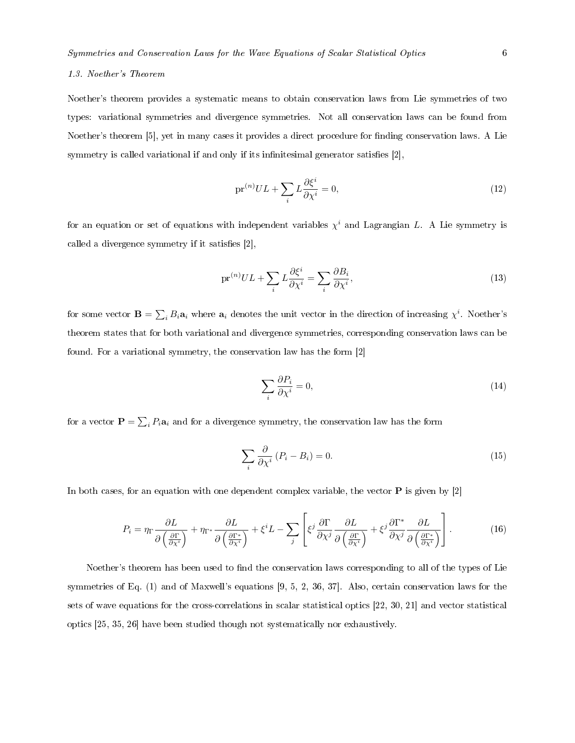# 1.3. Noether's Theorem

Noether's theorem provides a systematic means to obtain conservation laws from Lie symmetries of two types: variational symmetries and divergence symmetries. Not all conservation laws can be found from Noether's theorem [5], yet in many cases it provides a direct procedure for finding conservation laws. A Lie symmetry is called variational if and only if its infinitesimal generator satisfies  $[2]$ ,

$$
\mathrm{pr}^{(n)}UL + \sum_{i} L \frac{\partial \xi^{i}}{\partial \chi^{i}} = 0,\tag{12}
$$

for an equation or set of equations with independent variables  $\chi^i$  and Lagrangian L. A Lie symmetry is called a divergence symmetry if it satisfies  $[2]$ ,

$$
\text{pr}^{(n)}UL + \sum_{i} L \frac{\partial \xi^{i}}{\partial \chi^{i}} = \sum_{i} \frac{\partial B_{i}}{\partial \chi^{i}},\tag{13}
$$

for some vector  $\mathbf{B} = \sum_i B_i \mathbf{a}_i$  where  $\mathbf{a}_i$  denotes the unit vector in the direction of increasing  $\chi^i$ . Noether's theorem states that for both variational and divergence symmetries, corresponding conservation laws can be found. For a variational symmetry, the conservation law has the form [2]

$$
\sum_{i} \frac{\partial P_i}{\partial \chi^i} = 0,\tag{14}
$$

for a vector  $\mathbf{P} = \sum_i P_i \mathbf{a}_i$  and for a divergence symmetry, the conservation law has the form

$$
\sum_{i} \frac{\partial}{\partial \chi^{i}} (P_{i} - B_{i}) = 0.
$$
\n(15)

In both cases, for an equation with one dependent complex variable, the vector  $P$  is given by  $[2]$ 

$$
P_i = \eta_{\Gamma} \frac{\partial L}{\partial \left(\frac{\partial \Gamma}{\partial \chi^i}\right)} + \eta_{\Gamma^*} \frac{\partial L}{\partial \left(\frac{\partial \Gamma^*}{\partial \chi^i}\right)} + \xi^i L - \sum_j \left[ \xi^j \frac{\partial \Gamma}{\partial \chi^j} \frac{\partial L}{\partial \left(\frac{\partial \Gamma}{\partial \chi^i}\right)} + \xi^j \frac{\partial \Gamma^*}{\partial \chi^j} \frac{\partial L}{\partial \left(\frac{\partial \Gamma^*}{\partial \chi^i}\right)} \right].
$$
 (16)

Noether's theorem has been used to find the conservation laws corresponding to all of the types of Lie symmetries of Eq. (1) and of Maxwell's equations [9, 5, 2, 36, 37]. Also, certain conservation laws for the sets of wave equations for the cross-correlations in scalar statistical optics [22, 30, 21] and vector statistical optics [25, 35, 26] have been studied though not systematically nor exhaustively.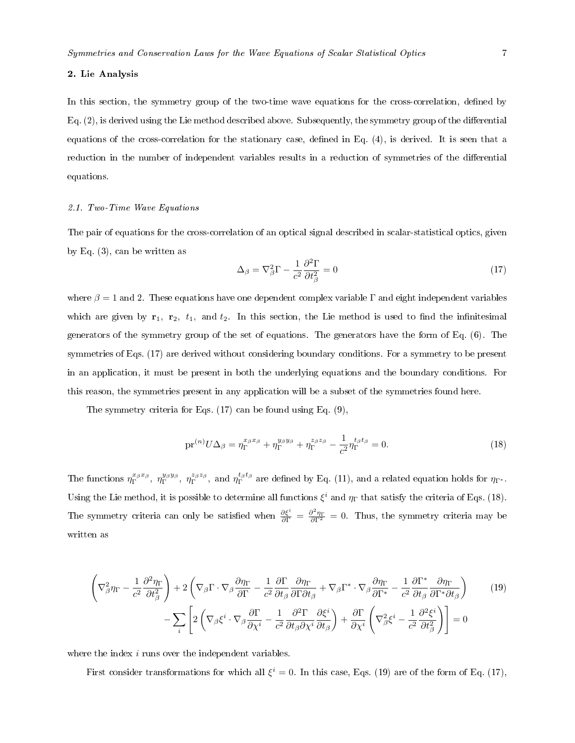## 2. Lie Analysis

In this section, the symmetry group of the two-time wave equations for the cross-correlation, defined by Eq.  $(2)$ , is derived using the Lie method described above. Subsequently, the symmetry group of the differential equations of the cross-correlation for the stationary case, defined in Eq. (4), is derived. It is seen that a reduction in the number of independent variables results in a reduction of symmetries of the differential equations.

## 2.1. Two-Time Wave Equations

The pair of equations for the cross-correlation of an optical signal described in scalar-statistical optics, given by Eq. (3), can be written as

$$
\Delta_{\beta} = \nabla_{\beta}^{2} \Gamma - \frac{1}{c^{2}} \frac{\partial^{2} \Gamma}{\partial t_{\beta}^{2}} = 0
$$
\n(17)

where  $\beta = 1$  and 2. These equations have one dependent complex variable Γ and eight independent variables which are given by  $r_1$ ,  $r_2$ ,  $t_1$ , and  $t_2$ . In this section, the Lie method is used to find the infinitesimal generators of the symmetry group of the set of equations. The generators have the form of Eq. (6). The symmetries of Eqs. (17) are derived without considering boundary conditions. For a symmetry to be present in an application, it must be present in both the underlying equations and the boundary conditions. For this reason, the symmetries present in any application will be a subset of the symmetries found here.

The symmetry criteria for Eqs. (17) can be found using Eq. (9),

$$
\text{pr}^{(n)}U\Delta_{\beta} = \eta_{\Gamma}^{x_{\beta}x_{\beta}} + \eta_{\Gamma}^{y_{\beta}y_{\beta}} + \eta_{\Gamma}^{z_{\beta}z_{\beta}} - \frac{1}{c^2}\eta_{\Gamma}^{t_{\beta}t_{\beta}} = 0.
$$
 (18)

The functions  $\eta_{\Gamma}^{x_{\beta}x_{\beta}}, \eta_{\Gamma}^{y_{\beta}y_{\beta}}, \eta_{\Gamma}^{z_{\beta}z_{\beta}}$ , and  $\eta_{\Gamma}^{t_{\beta}t_{\beta}}$  are defined by Eq. (11), and a related equation holds for  $\eta_{\Gamma^*}$ . Using the Lie method, it is possible to determine all functions  $\xi^i$  and  $\eta_{\Gamma}$  that satisfy the criteria of Eqs. (18). The symmetry criteria can only be satisfied when  $\frac{\partial \xi^i}{\partial \Gamma} = \frac{\partial^2 \eta_{\Gamma}}{\partial \Gamma^2} = 0$ . Thus, the symmetry criteria may be written as

$$
\left(\nabla_{\beta}^{2}\eta_{\Gamma} - \frac{1}{c^{2}}\frac{\partial^{2}\eta_{\Gamma}}{\partial t_{\beta}^{2}}\right) + 2\left(\nabla_{\beta}\Gamma\cdot\nabla_{\beta}\frac{\partial\eta_{\Gamma}}{\partial\Gamma} - \frac{1}{c^{2}}\frac{\partial\Gamma}{\partial t_{\beta}}\frac{\partial\eta_{\Gamma}}{\partial\Gamma\partial t_{\beta}} + \nabla_{\beta}\Gamma^{*}\cdot\nabla_{\beta}\frac{\partial\eta_{\Gamma}}{\partial\Gamma^{*}} - \frac{1}{c^{2}}\frac{\partial\Gamma^{*}}{\partial t_{\beta}}\frac{\partial\eta_{\Gamma}}{\partial\Gamma^{*}\partial t_{\beta}}\right) \tag{19}
$$
\n
$$
-\sum_{i}\left[2\left(\nabla_{\beta}\xi^{i}\cdot\nabla_{\beta}\frac{\partial\Gamma}{\partial\chi^{i}} - \frac{1}{c^{2}}\frac{\partial^{2}\Gamma}{\partial t_{\beta}\partial\chi^{i}}\frac{\partial\xi^{i}}{\partial t_{\beta}}\right) + \frac{\partial\Gamma}{\partial\chi^{i}}\left(\nabla_{\beta}^{2}\xi^{i} - \frac{1}{c^{2}}\frac{\partial^{2}\xi^{i}}{\partial t_{\beta}^{2}}\right)\right] = 0
$$

where the index *i* runs over the independent variables.

First consider transformations for which all  $\xi^i = 0$ . In this case, Eqs. (19) are of the form of Eq. (17),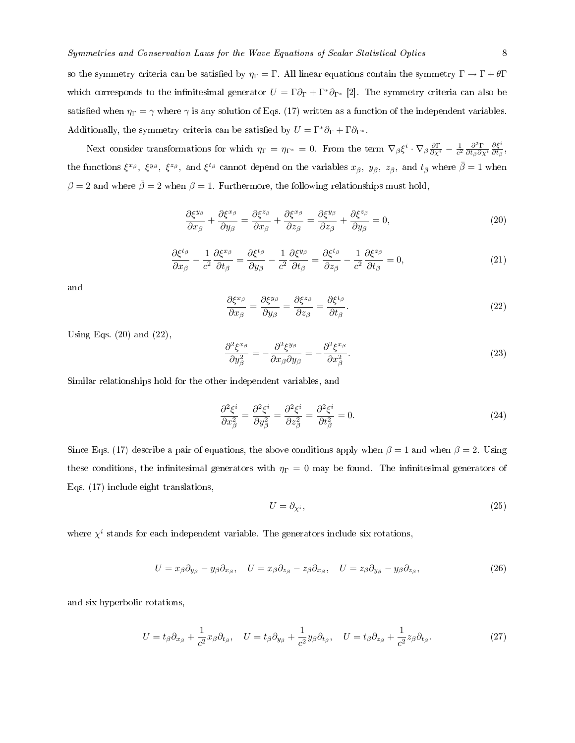Next consider transformations for which  $\eta_{\Gamma} = \eta_{\Gamma^*} = 0$ . From the term  $\nabla_{\beta} \xi^i \cdot \nabla_{\beta} \frac{\partial \Gamma}{\partial \chi^i} - \frac{1}{c^2} \frac{\partial^2 \Gamma}{\partial t_{\beta} \partial \chi^i}$ ∂ξ<sup>i</sup>  $\frac{\partial \xi^-}{\partial t_\beta},$ the functions  $\xi^{x_\beta}, \xi^{y_\beta}, \xi^{z_\beta}$ , and  $\xi^{t_\beta}$  cannot depend on the variables  $x_{\bar{\beta}}, y_{\bar{\beta}}, z_{\bar{\beta}},$  and  $t_{\bar{\beta}}$  where  $\bar{\beta} = 1$  when  $\beta = 2$  and where  $\bar{\beta} = 2$  when  $\beta = 1$ . Furthermore, the following relationships must hold,

$$
\frac{\partial \xi^{y_{\beta}}}{\partial x_{\beta}} + \frac{\partial \xi^{x_{\beta}}}{\partial y_{\beta}} = \frac{\partial \xi^{z_{\beta}}}{\partial x_{\beta}} + \frac{\partial \xi^{x_{\beta}}}{\partial z_{\beta}} = \frac{\partial \xi^{y_{\beta}}}{\partial z_{\beta}} + \frac{\partial \xi^{z_{\beta}}}{\partial y_{\beta}} = 0,
$$
\n(20)

$$
\frac{\partial \xi^{t_{\beta}}}{\partial x_{\beta}} - \frac{1}{c^2} \frac{\partial \xi^{x_{\beta}}}{\partial t_{\beta}} = \frac{\partial \xi^{t_{\beta}}}{\partial y_{\beta}} - \frac{1}{c^2} \frac{\partial \xi^{y_{\beta}}}{\partial t_{\beta}} = \frac{\partial \xi^{t_{\beta}}}{\partial z_{\beta}} - \frac{1}{c^2} \frac{\partial \xi^{z_{\beta}}}{\partial t_{\beta}} = 0,
$$
\n(21)

and

$$
\frac{\partial \xi^{x_{\beta}}}{\partial x_{\beta}} = \frac{\partial \xi^{y_{\beta}}}{\partial y_{\beta}} = \frac{\partial \xi^{z_{\beta}}}{\partial z_{\beta}} = \frac{\partial \xi^{t_{\beta}}}{\partial t_{\beta}}.
$$
\n(22)

Using Eqs.  $(20)$  and  $(22)$ ,

$$
\frac{\partial^2 \xi^{x_\beta}}{\partial y_\beta^2} = -\frac{\partial^2 \xi^{y_\beta}}{\partial x_\beta \partial y_\beta} = -\frac{\partial^2 \xi^{x_\beta}}{\partial x_\beta^2}.\tag{23}
$$

Similar relationships hold for the other independent variables, and

$$
\frac{\partial^2 \xi^i}{\partial x_\beta^2} = \frac{\partial^2 \xi^i}{\partial y_\beta^2} = \frac{\partial^2 \xi^i}{\partial z_\beta^2} = \frac{\partial^2 \xi^i}{\partial t_\beta^2} = 0.
$$
\n(24)

Since Eqs. (17) describe a pair of equations, the above conditions apply when  $\beta = 1$  and when  $\beta = 2$ . Using these conditions, the infinitesimal generators with  $\eta_{\Gamma} = 0$  may be found. The infinitesimal generators of Eqs. (17) include eight translations,

$$
U = \partial_{\chi^i},\tag{25}
$$

where  $\chi^i$  stands for each independent variable. The generators include six rotations,

$$
U = x_{\beta}\partial_{y_{\beta}} - y_{\beta}\partial_{x_{\beta}}, \quad U = x_{\beta}\partial_{z_{\beta}} - z_{\beta}\partial_{x_{\beta}}, \quad U = z_{\beta}\partial_{y_{\beta}} - y_{\beta}\partial_{z_{\beta}}, \tag{26}
$$

and six hyperbolic rotations,

$$
U = t_{\beta}\partial_{x_{\beta}} + \frac{1}{c^2}x_{\beta}\partial_{t_{\beta}}, \quad U = t_{\beta}\partial_{y_{\beta}} + \frac{1}{c^2}y_{\beta}\partial_{t_{\beta}}, \quad U = t_{\beta}\partial_{z_{\beta}} + \frac{1}{c^2}z_{\beta}\partial_{t_{\beta}}.
$$
 (27)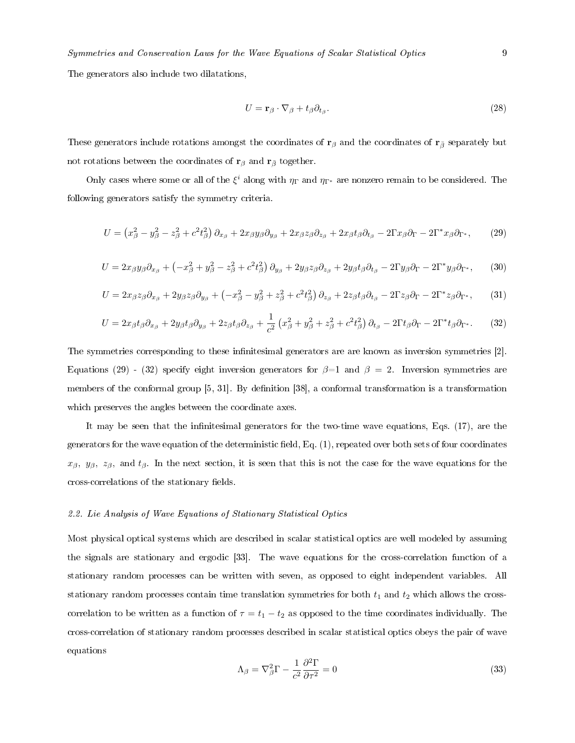The generators also include two dilatations,

$$
U = \mathbf{r}_{\beta} \cdot \nabla_{\beta} + t_{\beta} \partial_{t_{\beta}}.
$$
\n(28)

These generators include rotations amongst the coordinates of  $\mathbf{r}_{\beta}$  and the coordinates of  $\mathbf{r}_{\bar{\beta}}$  separately but not rotations between the coordinates of  $\mathbf{r}_{\beta}$  and  $\mathbf{r}_{\bar{\beta}}$  together.

Only cases where some or all of the  $\xi^i$  along with  $\eta_\Gamma$  and  $\eta_{\Gamma^*}$  are nonzero remain to be considered. The following generators satisfy the symmetry criteria.

$$
U = \left(x_{\beta}^2 - y_{\beta}^2 - z_{\beta}^2 + c^2 t_{\beta}^2\right) \partial_{x_{\beta}} + 2x_{\beta} y_{\beta} \partial_{y_{\beta}} + 2x_{\beta} z_{\beta} \partial_{z_{\beta}} + 2x_{\beta} t_{\beta} \partial_{t_{\beta}} - 2\Gamma x_{\beta} \partial_{\Gamma} - 2\Gamma^* x_{\beta} \partial_{\Gamma^*},\tag{29}
$$

$$
U = 2x_{\beta}y_{\beta}\partial_{x_{\beta}} + \left(-x_{\beta}^2 + y_{\beta}^2 - z_{\beta}^2 + c^2t_{\beta}^2\right)\partial_{y_{\beta}} + 2y_{\beta}z_{\beta}\partial_{z_{\beta}} + 2y_{\beta}t_{\beta}\partial_{t_{\beta}} - 2\Gamma y_{\beta}\partial_{\Gamma} - 2\Gamma^*y_{\beta}\partial_{\Gamma^*},\tag{30}
$$

$$
U = 2x_{\beta}z_{\beta}\partial_{x_{\beta}} + 2y_{\beta}z_{\beta}\partial_{y_{\beta}} + \left(-x_{\beta}^2 - y_{\beta}^2 + z_{\beta}^2 + c^2t_{\beta}^2\right)\partial_{z_{\beta}} + 2z_{\beta}t_{\beta}\partial_{t_{\beta}} - 2\Gamma z_{\beta}\partial_{\Gamma} - 2\Gamma^*z_{\beta}\partial_{\Gamma^*},\tag{31}
$$

$$
U = 2x_{\beta}t_{\beta}\partial_{x_{\beta}} + 2y_{\beta}t_{\beta}\partial_{y_{\beta}} + 2z_{\beta}t_{\beta}\partial_{z_{\beta}} + \frac{1}{c^2}\left(x_{\beta}^2 + y_{\beta}^2 + z_{\beta}^2 + c^2t_{\beta}^2\right)\partial_{t_{\beta}} - 2\Gamma t_{\beta}\partial_{\Gamma} - 2\Gamma^*t_{\beta}\partial_{\Gamma^*}.
$$
 (32)

The symmetries corresponding to these infinitesimal generators are are known as inversion symmetries [2]. Equations (29) - (32) specify eight inversion generators for  $\beta=1$  and  $\beta=2$ . Inversion symmetries are members of the conformal group [5, 31]. By definition [38], a conformal transformation is a transformation which preserves the angles between the coordinate axes.

It may be seen that the infinitesimal generators for the two-time wave equations, Eqs. (17), are the generators for the wave equation of the deterministic field, Eq.  $(1)$ , repeated over both sets of four coordinates  $x_{\beta}$ ,  $y_{\beta}$ ,  $z_{\beta}$ , and  $t_{\beta}$ . In the next section, it is seen that this is not the case for the wave equations for the cross-correlations of the stationary fields.

#### 2.2. Lie Analysis of Wave Equations of Stationary Statistical Optics

Most physical optical systems which are described in scalar statistical optics are well modeled by assuming the signals are stationary and ergodic [33]. The wave equations for the cross-correlation function of a stationary random processes can be written with seven, as opposed to eight independent variables. All stationary random processes contain time translation symmetries for both  $t_1$  and  $t_2$  which allows the crosscorrelation to be written as a function of  $\tau = t_1 - t_2$  as opposed to the time coordinates individually. The cross-correlation of stationary random processes described in scalar statistical optics obeys the pair of wave equations

$$
\Lambda_{\beta} = \nabla_{\beta}^{2} \Gamma - \frac{1}{c^{2}} \frac{\partial^{2} \Gamma}{\partial \tau^{2}} = 0
$$
\n(33)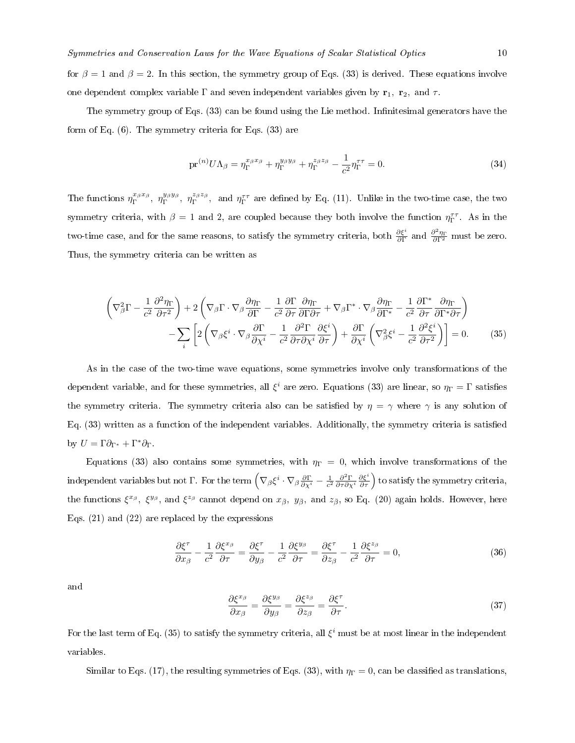for  $\beta = 1$  and  $\beta = 2$ . In this section, the symmetry group of Eqs. (33) is derived. These equations involve one dependent complex variable  $\Gamma$  and seven independent variables given by  $\mathbf{r}_1$ ,  $\mathbf{r}_2$ , and  $\tau$ .

The symmetry group of Eqs. (33) can be found using the Lie method. Infinitesimal generators have the form of Eq. (6). The symmetry criteria for Eqs. (33) are

$$
\text{pr}^{(n)}U\Lambda_{\beta} = \eta_{\Gamma}^{x_{\beta}x_{\beta}} + \eta_{\Gamma}^{y_{\beta}y_{\beta}} + \eta_{\Gamma}^{z_{\beta}z_{\beta}} - \frac{1}{c^2}\eta_{\Gamma}^{\tau\tau} = 0.
$$
 (34)

The functions  $\eta_{\Gamma}^{x_{\beta}x_{\beta}}, \eta_{\Gamma}^{y_{\beta}y_{\beta}}, \eta_{\Gamma}^{z_{\beta}z_{\beta}}, \text{ and } \eta_{\Gamma}^{\tau\tau}$  are defined by Eq. (11). Unlike in the two-time case, the two symmetry criteria, with  $\beta = 1$  and 2, are coupled because they both involve the function  $\eta_{\Gamma}^{\tau\tau}$ . As in the two-time case, and for the same reasons, to satisfy the symmetry criteria, both  $\frac{\partial \xi^i}{\partial \Gamma}$  and  $\frac{\partial^2 \eta_{\Gamma}}{\partial \Gamma^2}$  must be zero. Thus, the symmetry criteria can be written as

$$
\left(\nabla_{\beta}^{2}\Gamma - \frac{1}{c^{2}}\frac{\partial^{2}\eta_{\Gamma}}{\partial\tau^{2}}\right) + 2\left(\nabla_{\beta}\Gamma\cdot\nabla_{\beta}\frac{\partial\eta_{\Gamma}}{\partial\Gamma} - \frac{1}{c^{2}}\frac{\partial\Gamma}{\partial\tau}\frac{\partial\eta_{\Gamma}}{\partial\Gamma\partial\tau} + \nabla_{\beta}\Gamma^{*}\cdot\nabla_{\beta}\frac{\partial\eta_{\Gamma}}{\partial\Gamma^{*}} - \frac{1}{c^{2}}\frac{\partial\Gamma^{*}}{\partial\tau}\frac{\partial\eta_{\Gamma}}{\partial\Gamma^{*}\partial\tau}\right) - \sum_{i}\left[2\left(\nabla_{\beta}\xi^{i}\cdot\nabla_{\beta}\frac{\partial\Gamma}{\partial\chi^{i}} - \frac{1}{c^{2}}\frac{\partial^{2}\Gamma}{\partial\tau\partial\chi^{i}}\frac{\partial\xi^{i}}{\partial\tau}\right) + \frac{\partial\Gamma}{\partial\chi^{i}}\left(\nabla_{\beta}^{2}\xi^{i} - \frac{1}{c^{2}}\frac{\partial^{2}\xi^{i}}{\partial\tau^{2}}\right)\right] = 0.
$$
\n(35)

As in the case of the two-time wave equations, some symmetries involve only transformations of the dependent variable, and for these symmetries, all  $\xi^i$  are zero. Equations (33) are linear, so  $\eta_\Gamma=\Gamma$  satisfies the symmetry criteria. The symmetry criteria also can be satisfied by  $\eta = \gamma$  where  $\gamma$  is any solution of Eq. (33) written as a function of the independent variables. Additionally, the symmetry criteria is satised by  $U = \Gamma \partial_{\Gamma^*} + \Gamma^* \partial_{\Gamma}$ .

Equations (33) also contains some symmetries, with  $\eta_{\Gamma} = 0$ , which involve transformations of the independent variables but not  $\Gamma$ . For the term  $\left(\nabla_\beta \xi^i\cdot \nabla_\beta \frac{\partial \Gamma}{\partial \chi^i} - \frac{1}{c^2} \frac{\partial^2 \Gamma}{\partial \tau \partial \chi^i} \frac{\partial \xi^i}{\partial \tau}\right)$  to satisfy the symmetry criteria, the functions  $\xi^{x_\beta}$ ,  $\xi^{y_\beta}$ , and  $\xi^{z_\beta}$  cannot depend on  $x_{\bar{\beta}}$ ,  $y_{\bar{\beta}}$ , and  $z_{\bar{\beta}}$ , so Eq. (20) again holds. However, here Eqs. (21) and (22) are replaced by the expressions

$$
\frac{\partial \xi^{\tau}}{\partial x_{\beta}} - \frac{1}{c^2} \frac{\partial \xi^{x_{\beta}}}{\partial \tau} = \frac{\partial \xi^{\tau}}{\partial y_{\beta}} - \frac{1}{c^2} \frac{\partial \xi^{y_{\beta}}}{\partial \tau} = \frac{\partial \xi^{\tau}}{\partial z_{\beta}} - \frac{1}{c^2} \frac{\partial \xi^{z_{\beta}}}{\partial \tau} = 0,
$$
\n(36)

and

$$
\frac{\partial \xi^{x_{\beta}}}{\partial x_{\beta}} = \frac{\partial \xi^{y_{\beta}}}{\partial y_{\beta}} = \frac{\partial \xi^{z_{\beta}}}{\partial z_{\beta}} = \frac{\partial \xi^{\tau}}{\partial \tau}.
$$
\n(37)

For the last term of Eq. (35) to satisfy the symmetry criteria, all  $\xi^i$  must be at most linear in the independent variables.

Similar to Eqs. (17), the resulting symmetries of Eqs. (33), with  $\eta_{\Gamma} = 0$ , can be classified as translations,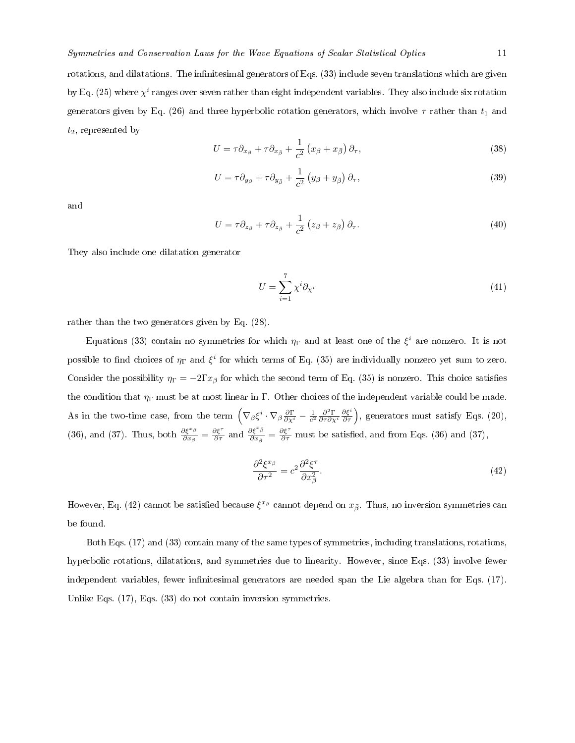rotations, and dilatations. The infinitesimal generators of Eqs.  $(33)$  include seven translations which are given by Eq. (25) where  $\chi^i$  ranges over seven rather than eight independent variables. They also include six rotation generators given by Eq. (26) and three hyperbolic rotation generators, which involve  $\tau$  rather than  $t_1$  and  $t_2$ , represented by

$$
U = \tau \partial_{x_{\beta}} + \tau \partial_{x_{\bar{\beta}}} + \frac{1}{c^2} \left( x_{\beta} + x_{\bar{\beta}} \right) \partial_{\tau},\tag{38}
$$

$$
U = \tau \partial_{y_{\beta}} + \tau \partial_{y_{\bar{\beta}}} + \frac{1}{c^2} \left( y_{\beta} + y_{\bar{\beta}} \right) \partial_{\tau},\tag{39}
$$

and

$$
U = \tau \partial_{z_{\beta}} + \tau \partial_{z_{\bar{\beta}}} + \frac{1}{c^2} \left( z_{\beta} + z_{\bar{\beta}} \right) \partial_{\tau}.
$$
 (40)

They also include one dilatation generator

$$
U = \sum_{i=1}^{7} \chi^{i} \partial_{\chi^{i}} \tag{41}
$$

rather than the two generators given by Eq. (28).

Equations (33) contain no symmetries for which  $\eta_{\Gamma}$  and at least one of the  $\xi^i$  are nonzero. It is not possible to find choices of  $\eta_{\Gamma}$  and  $\xi^{i}$  for which terms of Eq. (35) are individually nonzero yet sum to zero. Consider the possibility  $\eta_{\Gamma} = -2\Gamma x_{\beta}$  for which the second term of Eq. (35) is nonzero. This choice satisfies the condition that  $\eta_{\Gamma}$  must be at most linear in Γ. Other choices of the independent variable could be made. As in the two-time case, from the term  $(\nabla_{\beta} \xi^i \cdot \nabla_{\beta} \frac{\partial \Gamma}{\partial \chi^i} - \frac{1}{c^2} \frac{\partial^2 \Gamma}{\partial \tau \partial \chi^i} \frac{\partial \xi^i}{\partial \tau}),$  generators must satisfy Eqs. (20), (36), and (37). Thus, both  $\frac{\partial \xi^{x_{\beta}}}{\partial x_{\beta}} = \frac{\partial \xi^{x}}{\partial \tau}$  and  $\frac{\partial \xi^{x_{\beta}}}{\partial x_{\beta}} = \frac{\partial \xi^{x}}{\partial \tau}$  must be satisfied, and from Eqs. (36) and (37),

$$
\frac{\partial^2 \xi^{x_\beta}}{\partial \tau^2} = c^2 \frac{\partial^2 \xi^{\tau}}{\partial x_\beta^2}.
$$
\n(42)

However, Eq. (42) cannot be satisfied because  $\xi^{x_\beta}$  cannot depend on  $x_{\bar{\beta}}$ . Thus, no inversion symmetries can be found.

Both Eqs. (17) and (33) contain many of the same types of symmetries, including translations, rotations, hyperbolic rotations, dilatations, and symmetries due to linearity. However, since Eqs. (33) involve fewer independent variables, fewer infinitesimal generators are needed span the Lie algebra than for Eqs. (17). Unlike Eqs. (17), Eqs. (33) do not contain inversion symmetries.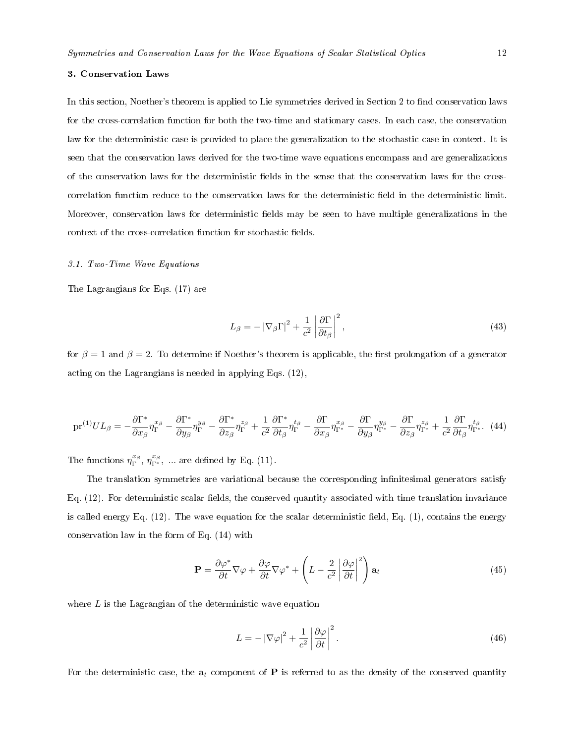#### 3. Conservation Laws

In this section, Noether's theorem is applied to Lie symmetries derived in Section 2 to find conservation laws for the cross-correlation function for both the two-time and stationary cases. In each case, the conservation law for the deterministic case is provided to place the generalization to the stochastic case in context. It is seen that the conservation laws derived for the two-time wave equations encompass and are generalizations of the conservation laws for the deterministic fields in the sense that the conservation laws for the crosscorrelation function reduce to the conservation laws for the deterministic field in the deterministic limit. Moreover, conservation laws for deterministic fields may be seen to have multiple generalizations in the context of the cross-correlation function for stochastic fields.

#### 3.1. Two-Time Wave Equations

The Lagrangians for Eqs. (17) are

$$
L_{\beta} = -\left|\nabla_{\beta}\Gamma\right|^2 + \frac{1}{c^2} \left|\frac{\partial \Gamma}{\partial t_{\beta}}\right|^2,\tag{43}
$$

for  $\beta = 1$  and  $\beta = 2$ . To determine if Noether's theorem is applicable, the first prolongation of a generator acting on the Lagrangians is needed in applying Eqs. (12),

$$
\text{pr}^{(1)}UL_{\beta} = -\frac{\partial \Gamma^*}{\partial x_{\beta}} \eta_{\Gamma}^{x_{\beta}} - \frac{\partial \Gamma^*}{\partial y_{\beta}} \eta_{\Gamma}^{y_{\beta}} - \frac{\partial \Gamma^*}{\partial z_{\beta}} \eta_{\Gamma}^{z_{\beta}} + \frac{1}{c^2} \frac{\partial \Gamma^*}{\partial t_{\beta}} \eta_{\Gamma}^{t_{\beta}} - \frac{\partial \Gamma}{\partial x_{\beta}} \eta_{\Gamma^*}^{x_{\beta}} - \frac{\partial \Gamma}{\partial y_{\beta}} \eta_{\Gamma^*}^{y_{\beta}} - \frac{\partial \Gamma}{\partial z_{\beta}} \eta_{\Gamma^*}^{z_{\beta}} + \frac{1}{c^2} \frac{\partial \Gamma}{\partial t_{\beta}} \eta_{\Gamma^*}^{t_{\beta}}.
$$
(44)

The functions  $\eta_{\Gamma}^{x_{\beta}}, \eta_{\Gamma^*}^{x_{\beta}}, \dots$  are defined by Eq. (11).

The translation symmetries are variational because the corresponding infinitesimal generators satisfy Eq.  $(12)$ . For deterministic scalar fields, the conserved quantity associated with time translation invariance is called energy Eq.  $(12)$ . The wave equation for the scalar deterministic field, Eq.  $(1)$ , contains the energy conservation law in the form of Eq. (14) with

$$
\mathbf{P} = \frac{\partial \varphi^*}{\partial t} \nabla \varphi + \frac{\partial \varphi}{\partial t} \nabla \varphi^* + \left( L - \frac{2}{c^2} \left| \frac{\partial \varphi}{\partial t} \right|^2 \right) \mathbf{a}_t
$$
 (45)

where  $L$  is the Lagrangian of the deterministic wave equation

$$
L = -\left|\nabla\varphi\right|^2 + \frac{1}{c^2} \left|\frac{\partial\varphi}{\partial t}\right|^2.
$$
\n(46)

For the deterministic case, the  $a_t$  component of **P** is referred to as the density of the conserved quantity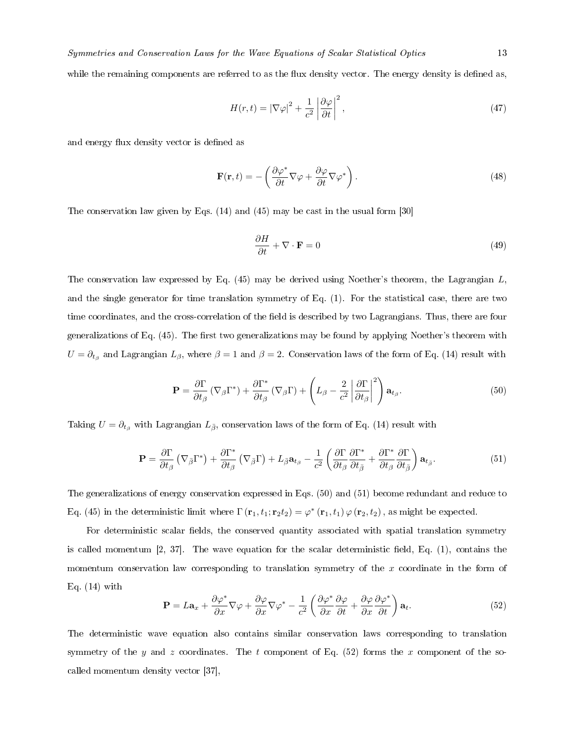while the remaining components are referred to as the flux density vector. The energy density is defined as,

$$
H(r,t) = |\nabla \varphi|^2 + \frac{1}{c^2} \left| \frac{\partial \varphi}{\partial t} \right|^2,\tag{47}
$$

and energy flux density vector is defined as

$$
\mathbf{F}(\mathbf{r},t) = -\left(\frac{\partial \varphi^*}{\partial t} \nabla \varphi + \frac{\partial \varphi}{\partial t} \nabla \varphi^*\right). \tag{48}
$$

The conservation law given by Eqs. (14) and (45) may be cast in the usual form [30]

$$
\frac{\partial H}{\partial t} + \nabla \cdot \mathbf{F} = 0 \tag{49}
$$

The conservation law expressed by Eq. (45) may be derived using Noether's theorem, the Lagrangian L, and the single generator for time translation symmetry of Eq. (1). For the statistical case, there are two time coordinates, and the cross-correlation of the field is described by two Lagrangians. Thus, there are four generalizations of Eq. (45). The first two generalizations may be found by applying Noether's theorem with  $U=\partial_{t_{\beta}}$  and Lagrangian  $L_{\beta}$ , where  $\beta=1$  and  $\beta=2$ . Conservation laws of the form of Eq. (14) result with

$$
\mathbf{P} = \frac{\partial \Gamma}{\partial t_{\beta}} \left( \nabla_{\beta} \Gamma^{*} \right) + \frac{\partial \Gamma^{*}}{\partial t_{\beta}} \left( \nabla_{\beta} \Gamma \right) + \left( L_{\beta} - \frac{2}{c^{2}} \left| \frac{\partial \Gamma}{\partial t_{\beta}} \right|^{2} \right) \mathbf{a}_{t_{\beta}}.
$$
 (50)

Taking  $U = \partial_{t_\beta}$  with Lagrangian  $L_{\bar{\beta}}$ , conservation laws of the form of Eq. (14) result with

$$
\mathbf{P} = \frac{\partial \Gamma}{\partial t_{\beta}} \left( \nabla_{\bar{\beta}} \Gamma^* \right) + \frac{\partial \Gamma^*}{\partial t_{\beta}} \left( \nabla_{\bar{\beta}} \Gamma \right) + L_{\bar{\beta}} \mathbf{a}_{t_{\beta}} - \frac{1}{c^2} \left( \frac{\partial \Gamma}{\partial t_{\beta}} \frac{\partial \Gamma^*}{\partial t_{\bar{\beta}}} + \frac{\partial \Gamma^*}{\partial t_{\beta}} \frac{\partial \Gamma}{\partial t_{\bar{\beta}}} \right) \mathbf{a}_{t_{\beta}}.
$$
(51)

The generalizations of energy conservation expressed in Eqs. (50) and (51) become redundant and reduce to Eq. (45) in the deterministic limit where  $\Gamma(\mathbf{r}_1,t_1;\mathbf{r}_2t_2) = \varphi^*(\mathbf{r}_1,t_1) \varphi(\mathbf{r}_2,t_2)$ , as might be expected.

For deterministic scalar fields, the conserved quantity associated with spatial translation symmetry is called momentum  $\left[2, 37\right]$ . The wave equation for the scalar deterministic field, Eq. (1), contains the momentum conservation law corresponding to translation symmetry of the  $x$  coordinate in the form of Eq.  $(14)$  with

$$
\mathbf{P} = L\mathbf{a}_x + \frac{\partial \varphi^*}{\partial x} \nabla \varphi + \frac{\partial \varphi}{\partial x} \nabla \varphi^* - \frac{1}{c^2} \left( \frac{\partial \varphi^*}{\partial x} \frac{\partial \varphi}{\partial t} + \frac{\partial \varphi}{\partial x} \frac{\partial \varphi^*}{\partial t} \right) \mathbf{a}_t.
$$
 (52)

The deterministic wave equation also contains similar conservation laws corresponding to translation symmetry of the y and z coordinates. The t component of Eq.  $(52)$  forms the x component of the socalled momentum density vector [37],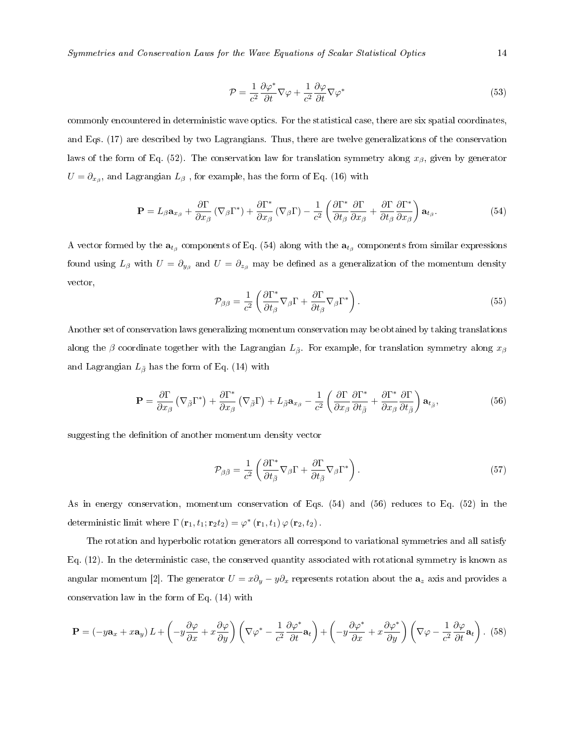Symmetries and Conservation Laws for the Wave Equations of Scalar Statistical Optics 14

$$
\mathcal{P} = \frac{1}{c^2} \frac{\partial \varphi^*}{\partial t} \nabla \varphi + \frac{1}{c^2} \frac{\partial \varphi}{\partial t} \nabla \varphi^* \tag{53}
$$

commonly encountered in deterministic wave optics. For the statistical case, there are six spatial coordinates, and Eqs. (17) are described by two Lagrangians. Thus, there are twelve generalizations of the conservation laws of the form of Eq. (52). The conservation law for translation symmetry along  $x_\beta$ , given by generator  $U=\partial_{x_\beta}, \text{ and Lagrangian } L_\beta \text{ , for example, has the form of Eq. (16) with }$ 

$$
\mathbf{P} = L_{\beta} \mathbf{a}_{x_{\beta}} + \frac{\partial \Gamma}{\partial x_{\beta}} \left( \nabla_{\beta} \Gamma^{*} \right) + \frac{\partial \Gamma^{*}}{\partial x_{\beta}} \left( \nabla_{\beta} \Gamma \right) - \frac{1}{c^{2}} \left( \frac{\partial \Gamma^{*}}{\partial t_{\beta}} \frac{\partial \Gamma}{\partial x_{\beta}} + \frac{\partial \Gamma}{\partial t_{\beta}} \frac{\partial \Gamma^{*}}{\partial x_{\beta}} \right) \mathbf{a}_{t_{\beta}}.
$$
(54)

A vector formed by the  $a_{t_\beta}$  components of Eq. (54) along with the  $a_{t_\beta}$  components from similar expressions found using  $L_\beta$  with  $U=\partial_{y_\beta}$  and  $U=\partial_{z_\beta}$  may be defined as a generalization of the momentum density vector,

$$
\mathcal{P}_{\beta\beta} = \frac{1}{c^2} \left( \frac{\partial \Gamma^*}{\partial t_\beta} \nabla_\beta \Gamma + \frac{\partial \Gamma}{\partial t_\beta} \nabla_\beta \Gamma^* \right). \tag{55}
$$

Another set of conservation laws generalizing momentum conservation may be obtained by taking translations along the β coordinate together with the Lagrangian  $L_{\bar{\beta}}$ . For example, for translation symmetry along  $x_{\beta}$ and Lagrangian  $L_{\bar{\beta}}$  has the form of Eq. (14) with

$$
\mathbf{P} = \frac{\partial \Gamma}{\partial x_{\beta}} \left( \nabla_{\bar{\beta}} \Gamma^* \right) + \frac{\partial \Gamma^*}{\partial x_{\beta}} \left( \nabla_{\bar{\beta}} \Gamma \right) + L_{\bar{\beta}} \mathbf{a}_{x_{\beta}} - \frac{1}{c^2} \left( \frac{\partial \Gamma}{\partial x_{\beta}} \frac{\partial \Gamma^*}{\partial t_{\bar{\beta}}} + \frac{\partial \Gamma^*}{\partial x_{\beta}} \frac{\partial \Gamma}{\partial t_{\bar{\beta}}} \right) \mathbf{a}_{t_{\beta}},
$$
(56)

suggesting the definition of another momentum density vector

$$
\mathcal{P}_{\beta\bar{\beta}} = \frac{1}{c^2} \left( \frac{\partial \Gamma^*}{\partial t_{\bar{\beta}}} \nabla_{\beta} \Gamma + \frac{\partial \Gamma}{\partial t_{\bar{\beta}}} \nabla_{\beta} \Gamma^* \right). \tag{57}
$$

As in energy conservation, momentum conservation of Eqs. (54) and (56) reduces to Eq. (52) in the deterministic limit where  $\Gamma(\mathbf{r}_1,t_1;\mathbf{r}_2t_2) = \varphi^*(\mathbf{r}_1,t_1) \varphi(\mathbf{r}_2,t_2)$ .

The rotation and hyperbolic rotation generators all correspond to variational symmetries and all satisfy Eq. (12). In the deterministic case, the conserved quantity associated with rotational symmetry is known as angular momentum [2]. The generator  $U = x\partial_y - y\partial_x$  represents rotation about the  $\mathbf{a}_z$  axis and provides a conservation law in the form of Eq. (14) with

$$
\mathbf{P} = (-y\mathbf{a}_x + x\mathbf{a}_y) L + \left(-y\frac{\partial\varphi}{\partial x} + x\frac{\partial\varphi}{\partial y}\right) \left(\nabla\varphi^* - \frac{1}{c^2}\frac{\partial\varphi^*}{\partial t}\mathbf{a}_t\right) + \left(-y\frac{\partial\varphi^*}{\partial x} + x\frac{\partial\varphi^*}{\partial y}\right) \left(\nabla\varphi - \frac{1}{c^2}\frac{\partial\varphi}{\partial t}\mathbf{a}_t\right). (58)
$$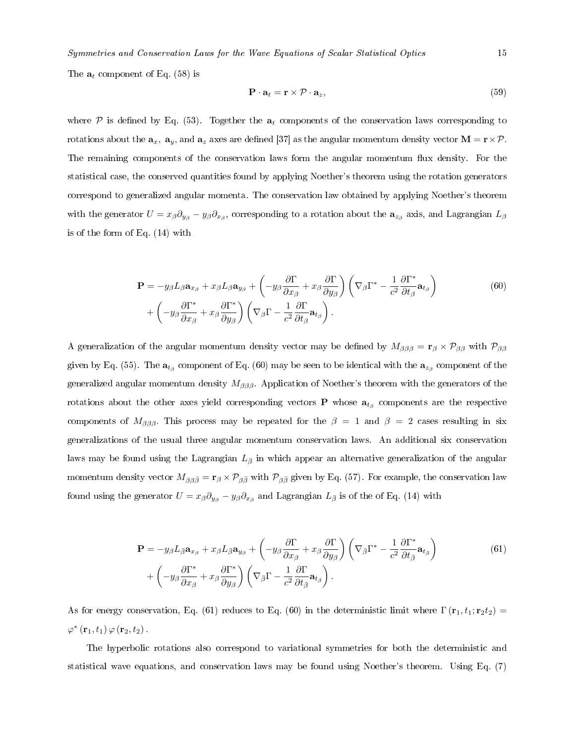The  $a_t$  component of Eq. (58) is

$$
\mathbf{P} \cdot \mathbf{a}_t = \mathbf{r} \times \mathcal{P} \cdot \mathbf{a}_z,\tag{59}
$$

where P is defined by Eq. (53). Together the  $a_t$  components of the conservation laws corresponding to rotations about the  $a_x$ ,  $a_y$ , and  $a_z$  axes are defined [37] as the angular momentum density vector  $M = r \times P$ . The remaining components of the conservation laws form the angular momentum flux density. For the statistical case, the conserved quantities found by applying Noether's theorem using the rotation generators correspond to generalized angular momenta. The conservation law obtained by applying Noether's theorem with the generator  $U=x_\beta\partial_{y_\beta}-y_\beta\partial_{x_\beta},$  corresponding to a rotation about the  ${\bf a}_{z_\beta}$  axis, and Lagrangian  $L_\beta$ is of the form of Eq. (14) with

$$
\mathbf{P} = -y_{\beta} L_{\beta} \mathbf{a}_{x_{\beta}} + x_{\beta} L_{\beta} \mathbf{a}_{y_{\beta}} + \left( -y_{\beta} \frac{\partial \Gamma}{\partial x_{\beta}} + x_{\beta} \frac{\partial \Gamma}{\partial y_{\beta}} \right) \left( \nabla_{\beta} \Gamma^* - \frac{1}{c^2} \frac{\partial \Gamma^*}{\partial t_{\beta}} \mathbf{a}_{t_{\beta}} \right) + \left( -y_{\beta} \frac{\partial \Gamma^*}{\partial x_{\beta}} + x_{\beta} \frac{\partial \Gamma^*}{\partial y_{\beta}} \right) \left( \nabla_{\beta} \Gamma - \frac{1}{c^2} \frac{\partial \Gamma}{\partial t_{\beta}} \mathbf{a}_{t_{\beta}} \right).
$$
 (60)

A generalization of the angular momentum density vector may be defined by  $M_{\beta\beta\beta} = \mathbf{r}_{\beta} \times \mathcal{P}_{\beta\beta}$  with  $\mathcal{P}_{\beta\beta}$ given by Eq. (55). The  ${\bf a}_{t_\beta}$  component of Eq. (60) may be seen to be identical with the  ${\bf a}_{z_\beta}$  component of the generalized angular momentum density  $M_{\beta\beta\beta}$ . Application of Noether's theorem with the generators of the rotations about the other axes yield corresponding vectors  ${\bf P}$  whose  ${\bf a}_{t_\beta}$  components are the respective components of  $M_{\beta\beta\beta}$ . This process may be repeated for the  $\beta = 1$  and  $\beta = 2$  cases resulting in six generalizations of the usual three angular momentum conservation laws. An additional six conservation laws may be found using the Lagrangian  $L_{\bar{\beta}}$  in which appear an alternative generalization of the angular momentum density vector  $M_{\beta\beta\bar{\beta}} = \mathbf{r}_{\beta} \times \mathcal{P}_{\beta\bar{\beta}}$  with  $\mathcal{P}_{\beta\bar{\beta}}$  given by Eq. (57). For example, the conservation law found using the generator  $U=x_\beta\partial_{y_\beta}-y_\beta\partial_{x_\beta}$  and Lagrangian  $L_{\bar{\beta}}$  is of the of Eq. (14) with

$$
\mathbf{P} = -y_{\beta} L_{\bar{\beta}} \mathbf{a}_{x_{\beta}} + x_{\beta} L_{\bar{\beta}} \mathbf{a}_{y_{\beta}} + \left( -y_{\beta} \frac{\partial \Gamma}{\partial x_{\beta}} + x_{\beta} \frac{\partial \Gamma}{\partial y_{\beta}} \right) \left( \nabla_{\bar{\beta}} \Gamma^* - \frac{1}{c^2} \frac{\partial \Gamma^*}{\partial t_{\bar{\beta}}} \mathbf{a}_{t_{\bar{\beta}}} \right) + \left( -y_{\beta} \frac{\partial \Gamma^*}{\partial x_{\beta}} + x_{\beta} \frac{\partial \Gamma^*}{\partial y_{\beta}} \right) \left( \nabla_{\bar{\beta}} \Gamma - \frac{1}{c^2} \frac{\partial \Gamma}{\partial t_{\bar{\beta}}} \mathbf{a}_{t_{\bar{\beta}}} \right).
$$
(61)

As for energy conservation, Eq. (61) reduces to Eq. (60) in the deterministic limit where  $\Gamma(\mathbf{r}_1, t_1; \mathbf{r}_2 t_2)$  =  $\varphi^* \left( \mathbf{r}_1, t_1 \right) \varphi \left( \mathbf{r}_2, t_2 \right)$ .

The hyperbolic rotations also correspond to variational symmetries for both the deterministic and statistical wave equations, and conservation laws may be found using Noether's theorem. Using Eq. (7)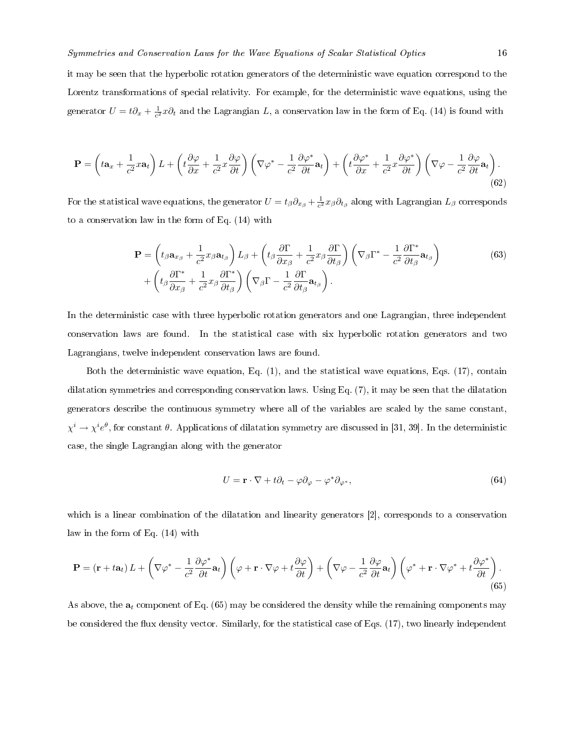it may be seen that the hyperbolic rotation generators of the deterministic wave equation correspond to the Lorentz transformations of special relativity. For example, for the deterministic wave equations, using the generator  $U = t\partial_x + \frac{1}{c^2}x\partial_t$  and the Lagrangian L, a conservation law in the form of Eq. (14) is found with

$$
\mathbf{P} = \left(t\mathbf{a}_x + \frac{1}{c^2}x\mathbf{a}_t\right)L + \left(t\frac{\partial\varphi}{\partial x} + \frac{1}{c^2}x\frac{\partial\varphi}{\partial t}\right)\left(\nabla\varphi^* - \frac{1}{c^2}\frac{\partial\varphi^*}{\partial t}\mathbf{a}_t\right) + \left(t\frac{\partial\varphi^*}{\partial x} + \frac{1}{c^2}x\frac{\partial\varphi^*}{\partial t}\right)\left(\nabla\varphi - \frac{1}{c^2}\frac{\partial\varphi}{\partial t}\mathbf{a}_t\right).
$$
\n(62)

For the statistical wave equations, the generator  $U=t_\beta\partial_{x_\beta}+\frac{1}{c^2}x_\beta\partial_{t_\beta}$  along with Lagrangian  $L_\beta$  corresponds to a conservation law in the form of Eq. (14) with

$$
\mathbf{P} = \left( t_{\beta} \mathbf{a}_{x_{\beta}} + \frac{1}{c^2} x_{\beta} \mathbf{a}_{t_{\beta}} \right) L_{\beta} + \left( t_{\beta} \frac{\partial \Gamma}{\partial x_{\beta}} + \frac{1}{c^2} x_{\beta} \frac{\partial \Gamma}{\partial t_{\beta}} \right) \left( \nabla_{\beta} \Gamma^* - \frac{1}{c^2} \frac{\partial \Gamma^*}{\partial t_{\beta}} \mathbf{a}_{t_{\beta}} \right) + \left( t_{\beta} \frac{\partial \Gamma^*}{\partial x_{\beta}} + \frac{1}{c^2} x_{\beta} \frac{\partial \Gamma^*}{\partial t_{\beta}} \right) \left( \nabla_{\beta} \Gamma - \frac{1}{c^2} \frac{\partial \Gamma}{\partial t_{\beta}} \mathbf{a}_{t_{\beta}} \right).
$$
\n(63)

In the deterministic case with three hyperbolic rotation generators and one Lagrangian, three independent conservation laws are found. In the statistical case with six hyperbolic rotation generators and two Lagrangians, twelve independent conservation laws are found.

Both the deterministic wave equation, Eq. (1), and the statistical wave equations, Eqs. (17), contain dilatation symmetries and corresponding conservation laws. Using Eq. (7), it may be seen that the dilatation generators describe the continuous symmetry where all of the variables are scaled by the same constant,  $\chi^i\to\chi^ie^\theta,$  for constant  $\theta.$  Applications of dilatation symmetry are discussed in [31, 39]. In the deterministic case, the single Lagrangian along with the generator

$$
U = \mathbf{r} \cdot \nabla + t\partial_t - \varphi \partial_\varphi - \varphi^* \partial_{\varphi^*},\tag{64}
$$

which is a linear combination of the dilatation and linearity generators [2], corresponds to a conservation law in the form of Eq. (14) with

$$
\mathbf{P} = (\mathbf{r} + t\mathbf{a}_t) L + \left(\nabla\varphi^* - \frac{1}{c^2} \frac{\partial \varphi^*}{\partial t} \mathbf{a}_t\right) \left(\varphi + \mathbf{r} \cdot \nabla\varphi + t \frac{\partial \varphi}{\partial t}\right) + \left(\nabla\varphi - \frac{1}{c^2} \frac{\partial \varphi}{\partial t} \mathbf{a}_t\right) \left(\varphi^* + \mathbf{r} \cdot \nabla\varphi^* + t \frac{\partial \varphi^*}{\partial t}\right). \tag{65}
$$

As above, the  $a_t$  component of Eq. (65) may be considered the density while the remaining components may be considered the flux density vector. Similarly, for the statistical case of Eqs. (17), two linearly independent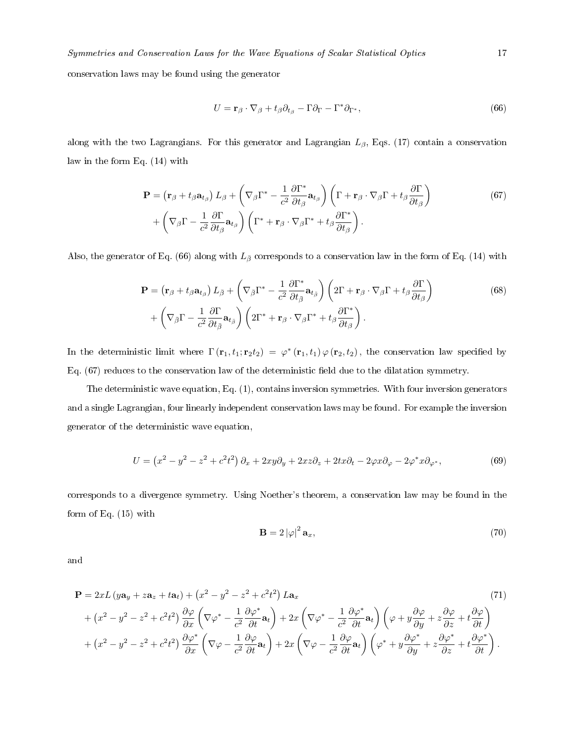conservation laws may be found using the generator

$$
U = \mathbf{r}_{\beta} \cdot \nabla_{\beta} + t_{\beta} \partial_{t_{\beta}} - \Gamma \partial_{\Gamma} - \Gamma^* \partial_{\Gamma^*},
$$
\n(66)

along with the two Lagrangians. For this generator and Lagrangian  $L_{\beta}$ , Eqs. (17) contain a conservation law in the form Eq. (14) with

$$
\mathbf{P} = \left(\mathbf{r}_{\beta} + t_{\beta} \mathbf{a}_{t_{\beta}}\right) L_{\beta} + \left(\nabla_{\beta} \Gamma^* - \frac{1}{c^2} \frac{\partial \Gamma^*}{\partial t_{\beta}} \mathbf{a}_{t_{\beta}}\right) \left(\Gamma + \mathbf{r}_{\beta} \cdot \nabla_{\beta} \Gamma + t_{\beta} \frac{\partial \Gamma}{\partial t_{\beta}}\right) + \left(\nabla_{\beta} \Gamma - \frac{1}{c^2} \frac{\partial \Gamma}{\partial t_{\beta}} \mathbf{a}_{t_{\beta}}\right) \left(\Gamma^* + \mathbf{r}_{\beta} \cdot \nabla_{\beta} \Gamma^* + t_{\beta} \frac{\partial \Gamma^*}{\partial t_{\beta}}\right).
$$
\n(67)

Also, the generator of Eq. (66) along with  $L_{\bar{\beta}}$  corresponds to a conservation law in the form of Eq. (14) with

$$
\mathbf{P} = \left(\mathbf{r}_{\beta} + t_{\beta} \mathbf{a}_{t_{\beta}}\right) L_{\bar{\beta}} + \left(\nabla_{\bar{\beta}} \Gamma^* - \frac{1}{c^2} \frac{\partial \Gamma^*}{\partial t_{\bar{\beta}}} \mathbf{a}_{t_{\bar{\beta}}}\right) \left(2\Gamma + \mathbf{r}_{\beta} \cdot \nabla_{\beta} \Gamma + t_{\beta} \frac{\partial \Gamma}{\partial t_{\beta}}\right) + \left(\nabla_{\bar{\beta}} \Gamma - \frac{1}{c^2} \frac{\partial \Gamma}{\partial t_{\bar{\beta}}} \mathbf{a}_{t_{\bar{\beta}}}\right) \left(2\Gamma^* + \mathbf{r}_{\beta} \cdot \nabla_{\beta} \Gamma^* + t_{\beta} \frac{\partial \Gamma^*}{\partial t_{\beta}}\right).
$$
\n(68)

In the deterministic limit where  $\Gamma(\mathbf{r}_1,t_1;\mathbf{r}_2t_2) = \varphi^*(\mathbf{r}_1,t_1)\varphi(\mathbf{r}_2,t_2)$ , the conservation law specified by Eq. (67) reduces to the conservation law of the deterministic field due to the dilatation symmetry.

The deterministic wave equation, Eq. (1), contains inversion symmetries. With four inversion generators and a single Lagrangian, four linearly independent conservation laws may be found. For example the inversion generator of the deterministic wave equation,

$$
U = \left(x^2 - y^2 - z^2 + c^2t^2\right)\partial_x + 2xy\partial_y + 2xz\partial_z + 2tx\partial_t - 2\varphi x\partial_\varphi - 2\varphi^*x\partial_{\varphi^*},\tag{69}
$$

corresponds to a divergence symmetry. Using Noether's theorem, a conservation law may be found in the form of Eq. (15) with

$$
\mathbf{B} = 2\left|\varphi\right|^2 \mathbf{a}_x,\tag{70}
$$

and

$$
\mathbf{P} = 2xL(y\mathbf{a}_{y} + z\mathbf{a}_{z} + t\mathbf{a}_{t}) + (x^{2} - y^{2} - z^{2} + c^{2}t^{2})L\mathbf{a}_{x}
$$
\n
$$
+ (x^{2} - y^{2} - z^{2} + c^{2}t^{2})\frac{\partial\varphi}{\partial x}\left(\nabla\varphi^{*} - \frac{1}{c^{2}}\frac{\partial\varphi^{*}}{\partial t}\mathbf{a}_{t}\right) + 2x\left(\nabla\varphi^{*} - \frac{1}{c^{2}}\frac{\partial\varphi^{*}}{\partial t}\mathbf{a}_{t}\right)\left(\varphi + y\frac{\partial\varphi}{\partial y} + z\frac{\partial\varphi}{\partial z} + t\frac{\partial\varphi}{\partial t}\right)
$$
\n
$$
+ (x^{2} - y^{2} - z^{2} + c^{2}t^{2})\frac{\partial\varphi^{*}}{\partial x}\left(\nabla\varphi - \frac{1}{c^{2}}\frac{\partial\varphi}{\partial t}\mathbf{a}_{t}\right) + 2x\left(\nabla\varphi - \frac{1}{c^{2}}\frac{\partial\varphi}{\partial t}\mathbf{a}_{t}\right)\left(\varphi^{*} + y\frac{\partial\varphi^{*}}{\partial y} + z\frac{\partial\varphi^{*}}{\partial z} + t\frac{\partial\varphi^{*}}{\partial t}\right).
$$
\n(71)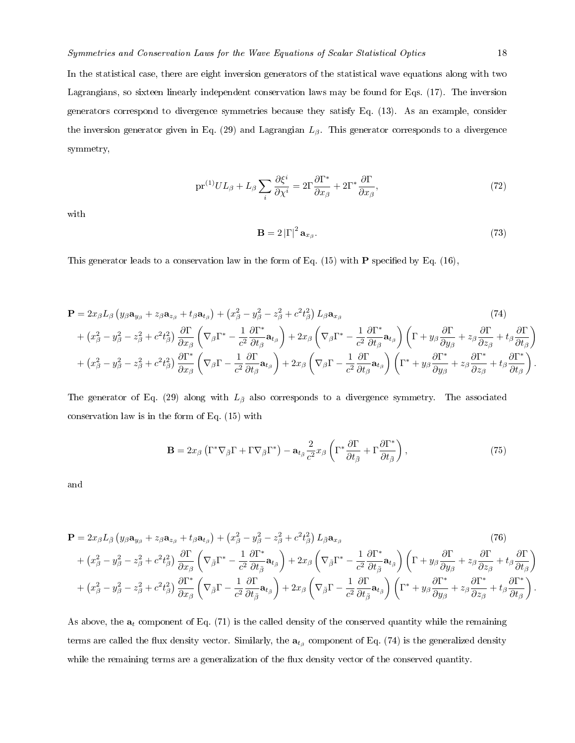In the statistical case, there are eight inversion generators of the statistical wave equations along with two Lagrangians, so sixteen linearly independent conservation laws may be found for Eqs. (17). The inversion generators correspond to divergence symmetries because they satisfy Eq. (13). As an example, consider the inversion generator given in Eq. (29) and Lagrangian  $L_\beta$ . This generator corresponds to a divergence symmetry,

$$
\text{pr}^{(1)}UL_{\beta} + L_{\beta} \sum_{i} \frac{\partial \xi^{i}}{\partial \chi^{i}} = 2\Gamma \frac{\partial \Gamma^{*}}{\partial x_{\beta}} + 2\Gamma^{*} \frac{\partial \Gamma}{\partial x_{\beta}},\tag{72}
$$

with

$$
\mathbf{B} = 2\left|\Gamma\right|^2 \mathbf{a}_{x_\beta}.\tag{73}
$$

This generator leads to a conservation law in the form of Eq. (15) with **P** specified by Eq. (16),

$$
\mathbf{P} = 2x_{\beta}L_{\beta}\left(y_{\beta}\mathbf{a}_{y_{\beta}} + z_{\beta}\mathbf{a}_{z_{\beta}} + t_{\beta}\mathbf{a}_{t_{\beta}}\right) + \left(x_{\beta}^{2} - y_{\beta}^{2} - z_{\beta}^{2} + c^{2}t_{\beta}^{2}\right)L_{\beta}\mathbf{a}_{x_{\beta}} \qquad (74)
$$
\n
$$
+ \left(x_{\beta}^{2} - y_{\beta}^{2} - z_{\beta}^{2} + c^{2}t_{\beta}^{2}\right)\frac{\partial\Gamma}{\partial x_{\beta}}\left(\nabla_{\beta}\Gamma^{*} - \frac{1}{c^{2}}\frac{\partial\Gamma^{*}}{\partial t_{\beta}}\mathbf{a}_{t_{\beta}}\right) + 2x_{\beta}\left(\nabla_{\beta}\Gamma^{*} - \frac{1}{c^{2}}\frac{\partial\Gamma^{*}}{\partial t_{\beta}}\mathbf{a}_{t_{\beta}}\right)\left(\Gamma + y_{\beta}\frac{\partial\Gamma}{\partial y_{\beta}} + z_{\beta}\frac{\partial\Gamma}{\partial z_{\beta}} + t_{\beta}\frac{\partial\Gamma}{\partial t_{\beta}}\right) + \left(x_{\beta}^{2} - y_{\beta}^{2} - z_{\beta}^{2} + c^{2}t_{\beta}^{2}\right)\frac{\partial\Gamma^{*}}{\partial x_{\beta}}\left(\nabla_{\beta}\Gamma - \frac{1}{c^{2}}\frac{\partial\Gamma}{\partial t_{\beta}}\mathbf{a}_{t_{\beta}}\right) + 2x_{\beta}\left(\nabla_{\beta}\Gamma - \frac{1}{c^{2}}\frac{\partial\Gamma}{\partial t_{\beta}}\mathbf{a}_{t_{\beta}}\right)\left(\Gamma^{*} + y_{\beta}\frac{\partial\Gamma^{*}}{\partial y_{\beta}} + z_{\beta}\frac{\partial\Gamma^{*}}{\partial z_{\beta}} + t_{\beta}\frac{\partial\Gamma^{*}}{\partial t_{\beta}}\right).
$$

The generator of Eq. (29) along with  $L_{\bar{\beta}}$  also corresponds to a divergence symmetry. The associated conservation law is in the form of Eq. (15) with

$$
\mathbf{B} = 2x_{\beta} \left( \Gamma^* \nabla_{\bar{\beta}} \Gamma + \Gamma \nabla_{\bar{\beta}} \Gamma^* \right) - \mathbf{a}_{t_{\bar{\beta}}} \frac{2}{c^2} x_{\beta} \left( \Gamma^* \frac{\partial \Gamma}{\partial t_{\bar{\beta}}} + \Gamma \frac{\partial \Gamma^*}{\partial t_{\bar{\beta}}} \right),\tag{75}
$$

and

$$
\mathbf{P} = 2x_{\beta}L_{\bar{\beta}}\left(y_{\beta}\mathbf{a}_{y_{\beta}} + z_{\beta}\mathbf{a}_{z_{\beta}} + t_{\beta}\mathbf{a}_{t_{\beta}}\right) + \left(x_{\beta}^{2} - y_{\beta}^{2} - z_{\beta}^{2} + c^{2}t_{\beta}^{2}\right)L_{\bar{\beta}}\mathbf{a}_{x_{\beta}} \qquad (76)
$$
\n
$$
+ \left(x_{\beta}^{2} - y_{\beta}^{2} - z_{\beta}^{2} + c^{2}t_{\beta}^{2}\right)\frac{\partial\Gamma}{\partial x_{\beta}}\left(\nabla_{\bar{\beta}}\Gamma^{*} - \frac{1}{c^{2}}\frac{\partial\Gamma^{*}}{\partial t_{\beta}}\mathbf{a}_{t_{\beta}}\right) + 2x_{\beta}\left(\nabla_{\bar{\beta}}\Gamma^{*} - \frac{1}{c^{2}}\frac{\partial\Gamma^{*}}{\partial t_{\beta}}\mathbf{a}_{t_{\beta}}\right)\left(\Gamma + y_{\beta}\frac{\partial\Gamma}{\partial y_{\beta}} + z_{\beta}\frac{\partial\Gamma}{\partial z_{\beta}} + t_{\beta}\frac{\partial\Gamma}{\partial t_{\beta}}\right) + \left(x_{\beta}^{2} - y_{\beta}^{2} - z_{\beta}^{2} + c^{2}t_{\beta}^{2}\right)\frac{\partial\Gamma^{*}}{\partial x_{\beta}}\left(\nabla_{\bar{\beta}}\Gamma - \frac{1}{c^{2}}\frac{\partial\Gamma}{\partial t_{\bar{\beta}}}\mathbf{a}_{t_{\bar{\beta}}}\right) + 2x_{\beta}\left(\nabla_{\bar{\beta}}\Gamma - \frac{1}{c^{2}}\frac{\partial\Gamma}{\partial t_{\bar{\beta}}}\mathbf{a}_{t_{\bar{\beta}}}\right)\left(\Gamma^{*} + y_{\beta}\frac{\partial\Gamma^{*}}{\partial y_{\beta}} + z_{\beta}\frac{\partial\Gamma^{*}}{\partial z_{\beta}} + t_{\beta}\frac{\partial\Gamma^{*}}{\partial t_{\beta}}\right).
$$

As above, the  $a_t$  component of Eq. (71) is the called density of the conserved quantity while the remaining terms are called the flux density vector. Similarly, the  $\mathbf{a}_{t_\beta}$  component of Eq. (74) is the generalized density while the remaining terms are a generalization of the flux density vector of the conserved quantity.

.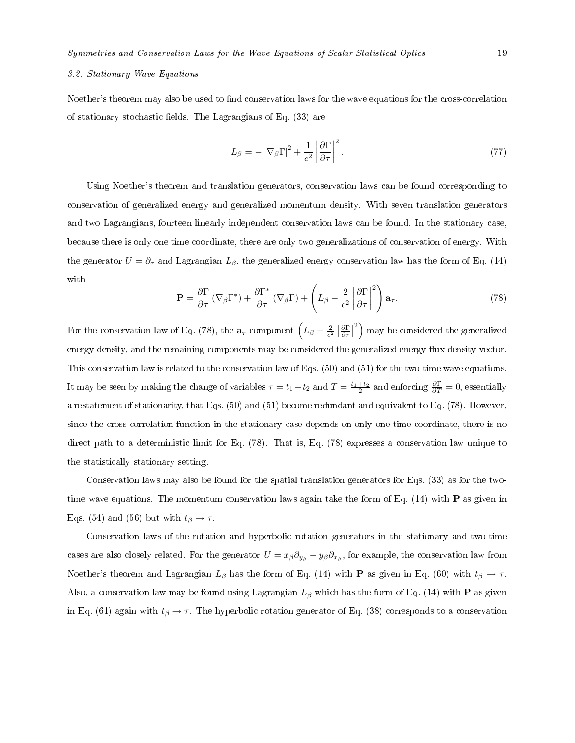## 3.2. Stationary Wave Equations

Noether's theorem may also be used to find conservation laws for the wave equations for the cross-correlation of stationary stochastic fields. The Lagrangians of Eq.  $(33)$  are

$$
L_{\beta} = -\left|\nabla_{\beta}\Gamma\right|^2 + \frac{1}{c^2} \left|\frac{\partial \Gamma}{\partial \tau}\right|^2.
$$
\n(77)

Using Noether's theorem and translation generators, conservation laws can be found corresponding to conservation of generalized energy and generalized momentum density. With seven translation generators and two Lagrangians, fourteen linearly independent conservation laws can be found. In the stationary case, because there is only one time coordinate, there are only two generalizations of conservation of energy. With the generator  $U = \partial_{\tau}$  and Lagrangian  $L_{\beta}$ , the generalized energy conservation law has the form of Eq. (14) with

$$
\mathbf{P} = \frac{\partial \Gamma}{\partial \tau} \left( \nabla_{\beta} \Gamma^* \right) + \frac{\partial \Gamma^*}{\partial \tau} \left( \nabla_{\beta} \Gamma \right) + \left( L_{\beta} - \frac{2}{c^2} \left| \frac{\partial \Gamma}{\partial \tau} \right|^2 \right) \mathbf{a}_{\tau}.
$$
 (78)

For the conservation law of Eq. (78), the  $\mathbf{a}_{\tau}$  component  $\left(L_{\beta} - \frac{2}{c^2} \left| \frac{\partial \Gamma}{\partial \tau} \right|$  $\binom{2}{1}$  may be considered the generalized energy density, and the remaining components may be considered the generalized energy flux density vector. This conservation law is related to the conservation law of Eqs. (50) and (51) for the two-time wave equations. It may be seen by making the change of variables  $\tau = t_1 - t_2$  and  $T = \frac{t_1+t_2}{2}$  and enforcing  $\frac{\partial \Gamma}{\partial T} = 0$ , essentially a restatement of stationarity, that Eqs. (50) and (51) become redundant and equivalent to Eq. (78). However, since the cross-correlation function in the stationary case depends on only one time coordinate, there is no direct path to a deterministic limit for Eq.  $(78)$ . That is, Eq.  $(78)$  expresses a conservation law unique to the statistically stationary setting.

Conservation laws may also be found for the spatial translation generators for Eqs. (33) as for the twotime wave equations. The momentum conservation laws again take the form of Eq.  $(14)$  with **P** as given in Eqs. (54) and (56) but with  $t_\beta \to \tau$ .

Conservation laws of the rotation and hyperbolic rotation generators in the stationary and two-time cases are also closely related. For the generator  $U=x_\beta\partial_{y_\beta}-y_\beta\partial_{x_\beta},$  for example, the conservation law from Noether's theorem and Lagrangian  $L_\beta$  has the form of Eq. (14) with P as given in Eq. (60) with  $t_\beta \to \tau$ . Also, a conservation law may be found using Lagrangian  $L_{\bar{\beta}}$  which has the form of Eq. (14) with **P** as given in Eq. (61) again with  $t_\beta \to \tau$ . The hyperbolic rotation generator of Eq. (38) corresponds to a conservation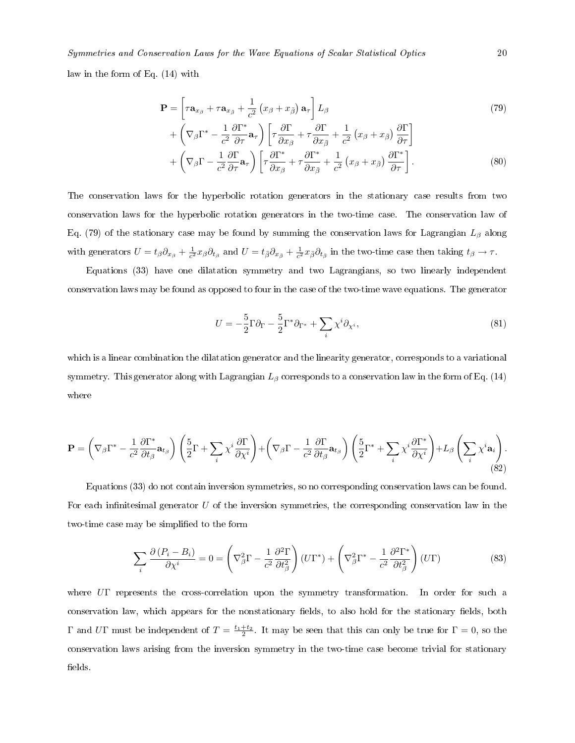Symmetries and Conservation Laws for the Wave Equations of Scalar Statistical Optics 20

law in the form of Eq. (14) with

$$
\mathbf{P} = \left[ \tau \mathbf{a}_{x_{\beta}} + \tau \mathbf{a}_{x_{\bar{\beta}}} + \frac{1}{c^2} \left( x_{\beta} + x_{\bar{\beta}} \right) \mathbf{a}_{\tau} \right] L_{\beta} + \left( \nabla_{\beta} \Gamma^* - \frac{1}{c^2} \frac{\partial \Gamma^*}{\partial \tau} \mathbf{a}_{\tau} \right) \left[ \tau \frac{\partial \Gamma}{\partial x_{\beta}} + \tau \frac{\partial \Gamma}{\partial x_{\bar{\beta}}} + \frac{1}{c^2} \left( x_{\beta} + x_{\bar{\beta}} \right) \frac{\partial \Gamma}{\partial \tau} \right]
$$
(79)

$$
+\left(\nabla_{\beta}\Gamma-\frac{1}{c^2}\frac{\partial \Gamma}{\partial \tau}\mathbf{a}_{\tau}\right)\left[\tau\frac{\partial \Gamma^*}{\partial x_{\beta}}+\tau\frac{\partial \Gamma^*}{\partial x_{\bar{\beta}}}+\frac{1}{c^2}\left(x_{\beta}+x_{\bar{\beta}}\right)\frac{\partial \Gamma^*}{\partial \tau}\right].
$$
\n(80)

The conservation laws for the hyperbolic rotation generators in the stationary case results from two conservation laws for the hyperbolic rotation generators in the two-time case. The conservation law of Eq. (79) of the stationary case may be found by summing the conservation laws for Lagrangian  $L_\beta$  along with generators  $U = t_{\beta} \partial_{x_{\beta}} + \frac{1}{c^2} x_{\beta} \partial_{t_{\beta}}$  and  $U = t_{\bar{\beta}} \partial_{x_{\bar{\beta}}} + \frac{1}{c^2} x_{\bar{\beta}} \partial_{t_{\bar{\beta}}}$  in the two-time case then taking  $t_{\beta} \to \tau$ .

Equations (33) have one dilatation symmetry and two Lagrangians, so two linearly independent conservation laws may be found as opposed to four in the case of the two-time wave equations. The generator

$$
U = -\frac{5}{2}\Gamma\partial_{\Gamma} - \frac{5}{2}\Gamma^*\partial_{\Gamma^*} + \sum_{i} \chi^i \partial_{\chi^i},\tag{81}
$$

which is a linear combination the dilatation generator and the linearity generator, corresponds to a variational symmetry. This generator along with Lagrangian  $L_\beta$  corresponds to a conservation law in the form of Eq. (14) where

$$
\mathbf{P} = \left(\nabla_{\beta}\Gamma^* - \frac{1}{c^2} \frac{\partial \Gamma^*}{\partial t_{\beta}} \mathbf{a}_{t_{\beta}}\right) \left(\frac{5}{2}\Gamma + \sum_{i} \chi^i \frac{\partial \Gamma}{\partial \chi^i}\right) + \left(\nabla_{\beta}\Gamma - \frac{1}{c^2} \frac{\partial \Gamma}{\partial t_{\beta}} \mathbf{a}_{t_{\beta}}\right) \left(\frac{5}{2}\Gamma^* + \sum_{i} \chi^i \frac{\partial \Gamma^*}{\partial \chi^i}\right) + L_{\beta} \left(\sum_{i} \chi^i \mathbf{a}_i\right). \tag{82}
$$

Equations (33) do not contain inversion symmetries, so no corresponding conservation laws can be found. For each infinitesimal generator  $U$  of the inversion symmetries, the corresponding conservation law in the two-time case may be simplified to the form

$$
\sum_{i} \frac{\partial (P_i - B_i)}{\partial \chi^i} = 0 = \left( \nabla_{\beta}^2 \Gamma - \frac{1}{c^2} \frac{\partial^2 \Gamma}{\partial t_{\beta}^2} \right) (U\Gamma^*) + \left( \nabla_{\beta}^2 \Gamma^* - \frac{1}{c^2} \frac{\partial^2 \Gamma^*}{\partial t_{\beta}^2} \right) (U\Gamma) \tag{83}
$$

where UΓ represents the cross-correlation upon the symmetry transformation. In order for such a conservation law, which appears for the nonstationary fields, to also hold for the stationary fields, both Γ and UΓ must be independent of  $T = \frac{t_1+t_2}{2}$ . It may be seen that this can only be true for  $\Gamma = 0$ , so the conservation laws arising from the inversion symmetry in the two-time case become trivial for stationary elds.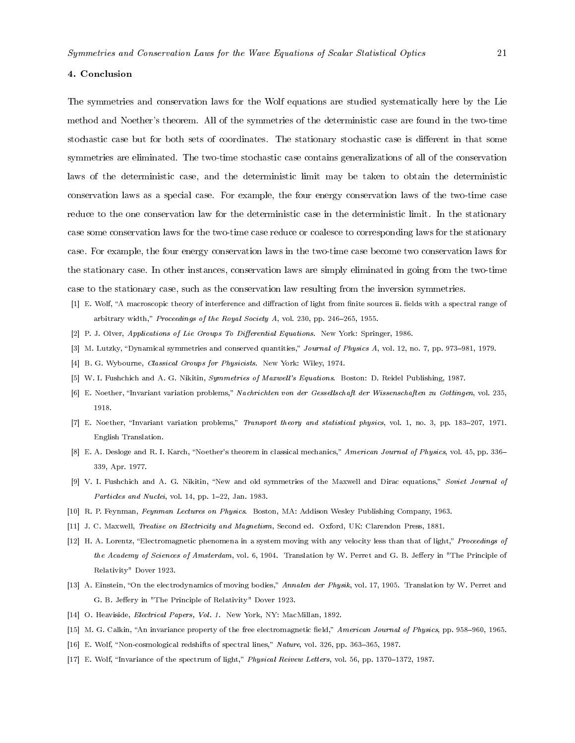#### 4. Conclusion

The symmetries and conservation laws for the Wolf equations are studied systematically here by the Lie method and Noether's theorem. All of the symmetries of the deterministic case are found in the two-time stochastic case but for both sets of coordinates. The stationary stochastic case is different in that some symmetries are eliminated. The two-time stochastic case contains generalizations of all of the conservation laws of the deterministic case, and the deterministic limit may be taken to obtain the deterministic conservation laws as a special case. For example, the four energy conservation laws of the two-time case reduce to the one conservation law for the deterministic case in the deterministic limit. In the stationary case some conservation laws for the two-time case reduce or coalesce to corresponding laws for the stationary case. For example, the four energy conservation laws in the two-time case become two conservation laws for the stationary case. In other instances, conservation laws are simply eliminated in going from the two-time case to the stationary case, such as the conservation law resulting from the inversion symmetries.

- [1] E. Wolf, "A macroscopic theory of interference and diffraction of light from finite sources ii. fields with a spectral range of arbitrary width," Proceedings of the Royal Society A, vol. 230, pp. 246-265, 1955.
- [2] P. J. Olver, Applications of Lie Groups To Differential Equations. New York: Springer, 1986.
- [3] M. Lutzky, "Dynamical symmetries and conserved quantities," Journal of Physics A, vol. 12, no. 7, pp. 973-981, 1979.
- [4] B. G. Wybourne, *Classical Groups for Physicists*. New York: Wiley, 1974.
- [5] W. I. Fushchich and A. G. Nikitin, Symmetries of Maxwell's Equations. Boston: D. Reidel Publishing, 1987.
- [6] E. Noether, "Invariant variation problems," Nachrichten von der Gessellschaft der Wissenschaften zu Gottingen, vol. 235, 1918.
- [7] E. Noether, "Invariant variation problems," Transport theory and statistical physics, vol. 1, no. 3, pp. 183-207, 1971. English Translation.
- [8] E. A. Desloge and R. I. Karch, "Noether's theorem in classical mechanics," American Journal of Physics, vol. 45, pp. 336-339, Apr. 1977.
- [9] V. I. Fushchich and A. G. Nikitin, "New and old symmetries of the Maxwell and Dirac equations," Soviet Journal of Particles and Nuclei, vol. 14, pp. 1-22, Jan. 1983.
- [10] R. P. Feynman, Feynman Lectures on Physics. Boston, MA: Addison Wesley Publishing Company, 1963.
- [11] J. C. Maxwell, Treatise on Electricity and Magnetism, Second ed. Oxford, UK: Clarendon Press, 1881.
- [12] H. A. Lorentz, "Electromagnetic phenomena in a system moving with any velocity less than that of light," Proceedings of the Academy of Sciences of Amsterdam, vol. 6, 1904. Translation by W. Perret and G. B. Jeffery in "The Principle of Relativity" Dover 1923.
- [13] A. Einstein, "On the electrodynamics of moving bodies," Annalen der Physik, vol. 17, 1905. Translation by W. Perret and G. B. Jeffery in "The Principle of Relativity" Dover 1923.
- [14] O. Heaviside, Electrical Papers, Vol. 1. New York, NY: MacMillan, 1892.
- [15] M. G. Calkin, "An invariance property of the free electromagnetic field," American Journal of Physics, pp. 958-960, 1965.
- [16] E. Wolf, "Non-cosmological redshifts of spectral lines," Nature, vol. 326, pp. 363-365, 1987.
- [17] E. Wolf, "Invariance of the spectrum of light," Physical Reivew Letters, vol. 56, pp. 1370-1372, 1987.